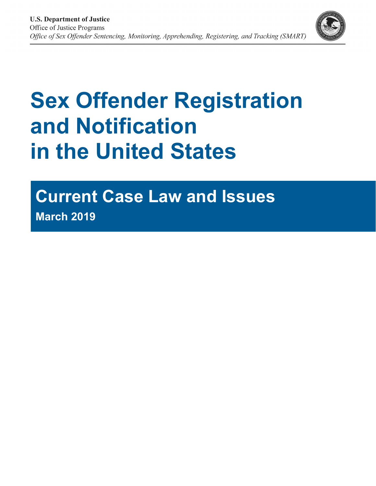

# **Sex Offender Registration and Notification in the United States**

# **Current Case Law and Issues March 2019**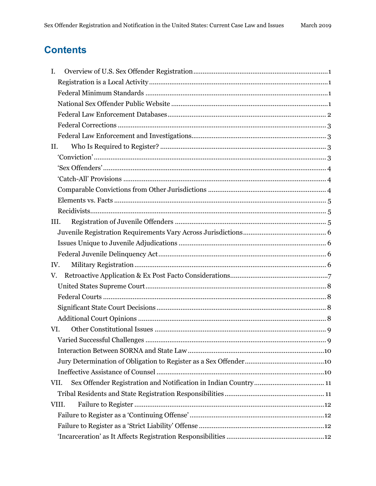# **Contents**

| Ι.    |  |
|-------|--|
|       |  |
|       |  |
|       |  |
|       |  |
|       |  |
|       |  |
| II.   |  |
|       |  |
|       |  |
|       |  |
|       |  |
|       |  |
|       |  |
| III.  |  |
|       |  |
|       |  |
|       |  |
| IV.   |  |
| V.    |  |
|       |  |
|       |  |
|       |  |
|       |  |
| VI.   |  |
|       |  |
|       |  |
|       |  |
|       |  |
| VII.  |  |
|       |  |
| VIII. |  |
|       |  |
|       |  |
|       |  |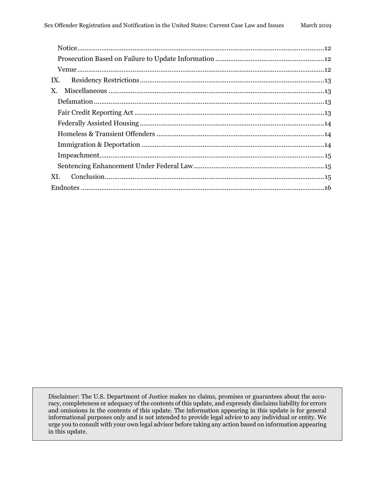| IX. |  |
|-----|--|
| X.  |  |
|     |  |
|     |  |
|     |  |
|     |  |
|     |  |
|     |  |
|     |  |
| XI. |  |
|     |  |

Disclaimer: The U.S. Department of Justice makes no claims, promises or guarantees about the accuracy, completeness or adequacy of the contents of this update, and expressly disclaims liability for errors and omissions in the contents of this update. The information appearing in this update is for general informational purposes only and is not intended to provide legal advice to any individual or entity. We urge you to consult with your own legal advisor before taking any action based on information appearing in this update.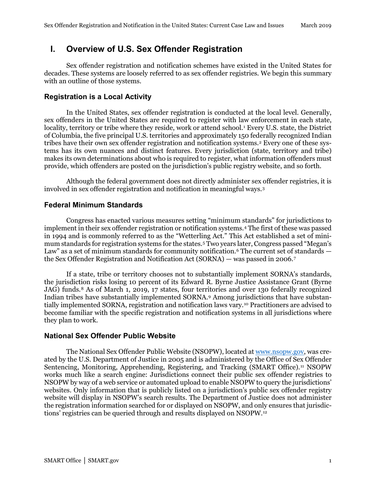# <span id="page-3-0"></span>**I. Overview of U.S. Sex Offender Registration**

Sex offender registration and notification schemes have existed in the United States for decades. These systems are loosely referred to as sex offender registries. We begin this summary with an outline of those systems.

#### <span id="page-3-1"></span>**Registration is a Local Activity**

In the United States, sex offender registration is conducted at the local level. Generally, sex offenders in the United States are required to register with law enforcement in each state, locality, territory or tribe where they reside, work or attend school.<sup>1</sup> Every U.S. state, the District of Columbia, the five principal U.S. territories and approximately 150 federally recognized Indian tribes have their own sex offender registration and notification systems.[2](#page-19-1) Every one of these systems has its own nuances and distinct features. Every jurisdiction (state, territory and tribe) makes its own determinations about who is required to register, what information offenders must provide, which offenders are posted on the jurisdiction's public registry website, and so forth.

Although the federal government does not directly administer sex offender registries, it is involved in sex offender registration and notification in meaningful ways.[3](#page-19-2)

#### <span id="page-3-2"></span>**Federal Minimum Standards**

Congress has enacted various measures setting "minimum standards" for jurisdictions to implement in their sex offender registration or notification systems.[4](#page-19-3) The first of these was passed in 1994 and is commonly referred to as the "Wetterling Act." This Act established a set of minimum standards for registration systems for the states.[5](#page-19-4) Two years later, Congress passed "Megan's Law" as a set of minimum standards for community notification.<sup>[6](#page-19-5)</sup> The current set of standards the Sex Offender Registration and Notification Act (SORNA) — was passed in 2006.[7](#page-19-6)

If a state, tribe or territory chooses not to substantially implement SORNA's standards, the jurisdiction risks losing 10 percent of its Edward R. Byrne Justice Assistance Grant (Byrne JAG) funds.[8](#page-19-7) As of March 1, 2019, 17 states, four territories and over 130 federally recognized Indian tribes have substantially implemented SORNA[.9](#page-20-0) Among jurisdictions that have substantially implemented SORNA, registration and notification laws vary.[10](#page-20-1) Practitioners are advised to become familiar with the specific registration and notification systems in all jurisdictions where they plan to work.

#### <span id="page-3-3"></span>**National Sex Offender Public Website**

The National Sex Offender Public Website (NSOPW), located at www.nsopw.gov, was created by the U.S. Department of Justice in 2005 and is administered by the Office of Sex Offender Sentencing, Monitoring, Apprehending, Registering, and Tracking (SMART Office).<sup>[11](#page-20-2)</sup> NSOPW works much like a search engine: Jurisdictions connect their public sex offender registries to NSOPW by way of a web service or automated upload to enable NSOPW to query the jurisdictions' websites. Only information that is publicly listed on a jurisdiction's public sex offender registry website will display in NSOPW's search results. The Department of Justice does not administer the registration information searched for or displayed on NSOPW, and only ensures that jurisdictions' registries can be queried through and results displayed on NSOPW.[12](#page-20-3)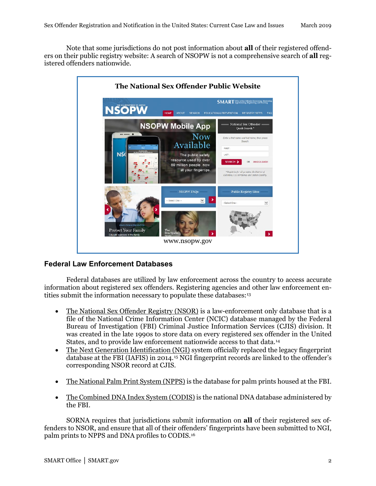Note that some jurisdictions do not post information about **all** of their registered offenders on their public registry website: A search of NSOPW is not a comprehensive search of **all** registered offenders nationwide.



#### <span id="page-4-0"></span>**Federal Law Enforcement Databases**

Federal databases are utilized by law enforcement across the country to access accurate information about registered sex offenders. Registering agencies and other law enforcement en-tities submit the information necessary to populate these databases:<sup>[13](#page-20-4)</sup>

- The National Sex Offender Registry (NSOR) is a law-enforcement only database that is a file of the National Crime Information Center (NCIC) database managed by the Federal Bureau of Investigation (FBI) Criminal Justice Information Services (CJIS) division. It was created in the late 1990s to store data on every registered sex offender in the United States, and to provide law enforcement nationwide access to that data.[14](#page-20-5)
- The Next Generation Identification (NGI) system officially replaced the legacy fingerprint database at the FBI (IAFIS) in 2014.[15](#page-20-6) NGI fingerprint records are linked to the offender's corresponding NSOR record at CJIS.
- The National Palm Print System (NPPS) is the database for palm prints housed at the FBI.
- The Combined DNA Index System (CODIS) is the national DNA database administered by the FBI.

SORNA requires that jurisdictions submit information on **all** of their registered sex offenders to NSOR, and ensure that all of their offenders' fingerprints have been submitted to NGI, palm prints to NPPS and DNA profiles to CODIS.[16](#page-20-7)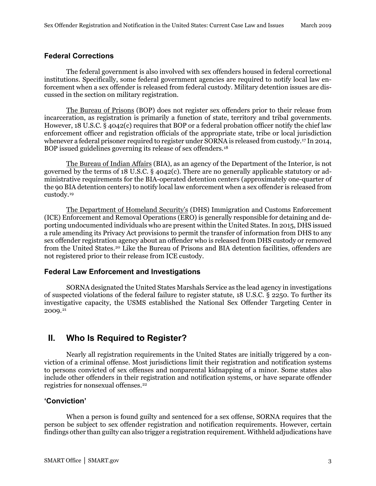#### <span id="page-5-0"></span>**Federal Corrections**

The federal government is also involved with sex offenders housed in federal correctional institutions. Specifically, some federal government agencies are required to notify local law enforcement when a sex offender is released from federal custody. Military detention issues are discussed in the section on military registration.

The Bureau of Prisons (BOP) does not register sex offenders prior to their release from incarceration, as registration is primarily a function of state, territory and tribal governments. However, 18 U.S.C. § 4042(c) requires that BOP or a federal probation officer notify the chief law enforcement officer and registration officials of the appropriate state, tribe or local jurisdiction whenever a federal prisoner required to register under SORNA is released from custody.[17](#page-20-8) In 2014, BOP issued guidelines governing its release of sex offenders.[18](#page-20-9)

The Bureau of Indian Affairs (BIA), as an agency of the Department of the Interior, is not governed by the terms of 18 U.S.C. § 4042(c). There are no generally applicable statutory or administrative requirements for the BIA-operated detention centers (approximately one-quarter of the 90 BIA detention centers) to notify local law enforcement when a sex offender is released from custody.[19](#page-20-10)

The Department of Homeland Security's (DHS) Immigration and Customs Enforcement (ICE) Enforcement and Removal Operations (ERO) is generally responsible for detaining and deporting undocumented individuals who are present within the United States. In 2015, DHS issued a rule amending its Privacy Act provisions to permit the transfer of information from DHS to any sex offender registration agency about an offender who is released from DHS custody or removed from the United States.[20](#page-20-11) Like the Bureau of Prisons and BIA detention facilities, offenders are not registered prior to their release from ICE custody.

#### <span id="page-5-1"></span>**Federal Law Enforcement and Investigations**

SORNA designated the United States Marshals Service as the lead agency in investigations of suspected violations of the federal failure to register statute, 18 U.S.C. § 2250. To further its investigative capacity, the USMS established the National Sex Offender Targeting Center in 2009.[21](#page-21-0)

# <span id="page-5-2"></span>**II. Who Is Required to Register?**

Nearly all registration requirements in the United States are initially triggered by a conviction of a criminal offense. Most jurisdictions limit their registration and notification systems to persons convicted of sex offenses and nonparental kidnapping of a minor. Some states also include other offenders in their registration and notification systems, or have separate offender registries for nonsexual offenses.[22](#page-21-1)

#### <span id="page-5-3"></span>**'Conviction'**

When a person is found guilty and sentenced for a sex offense, SORNA requires that the person be subject to sex offender registration and notification requirements. However, certain findings other than guilty can also trigger a registration requirement. Withheld adjudications have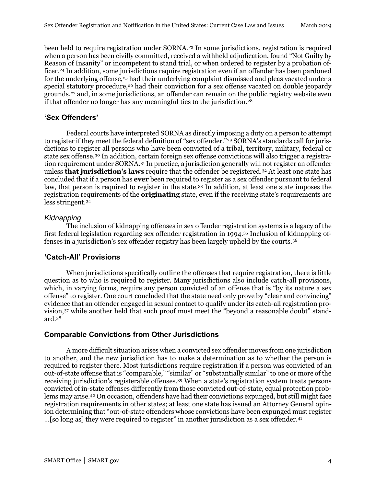been held to require registration under SORNA.[23](#page-21-2) In some jurisdictions, registration is required when a person has been civilly committed, received a withheld adjudication, found "Not Guilty by Reason of Insanity" or incompetent to stand trial, or when ordered to register by a probation of-ficer.<sup>[24](#page-21-3)</sup> In addition, some jurisdictions require registration even if an offender has been pardoned for the underlying offense,<sup>[25](#page-21-4)</sup> had their underlying complaint dismissed and pleas vacated under a special statutory procedure,<sup>[26](#page-21-5)</sup> had their conviction for a sex offense vacated on double jeopardy grounds,<sup>27</sup> and, in some jurisdictions, an offender can remain on the public registry website even if that offender no longer has any meaningful ties to the jurisdiction.<sup>28</sup>

#### <span id="page-6-0"></span>**'Sex Offenders'**

Federal courts have interpreted SORNA as directly imposing a duty on a person to attempt to register if they meet the federal definition of "sex offender."<sup>[29](#page-21-8)</sup> SORNA's standards call for jurisdictions to register all persons who have been convicted of a tribal, territory, military, federal or state sex offense.[30](#page-21-9) In addition, certain foreign sex offense convictions will also trigger a registration requirement under SORNA.[31](#page-21-10) In practice, a jurisdiction generally will not register an offender unless **that jurisdiction's laws** require that the offender be registered.[32](#page-21-11) At least one state has concluded that if a person has **ever** been required to register as a sex offender pursuant to federal law, that person is required to register in the state.[33](#page-21-12) In addition, at least one state imposes the registration requirements of the **originating** state, even if the receiving state's requirements are less stringent.[34](#page-21-13)

#### *Kidnapping*

The inclusion of kidnapping offenses in sex offender registration systems is a legacy of the first federal legislation regarding sex offender registration in 1994[.35](#page-22-0) Inclusion of kidnapping offenses in a jurisdiction's sex offender registry has been largely upheld by the courts[.36](#page-22-1)

#### <span id="page-6-1"></span>**'Catch-All' Provisions**

When jurisdictions specifically outline the offenses that require registration, there is little question as to who is required to register. Many jurisdictions also include catch-all provisions, which, in varying forms, require any person convicted of an offense that is "by its nature a sex offense" to register. One court concluded that the state need only prove by "clear and convincing" evidence that an offender engaged in sexual contact to qualify under its catch-all registration provision,[37](#page-22-2) while another held that such proof must meet the "beyond a reasonable doubt" standard.[38](#page-22-3)

#### <span id="page-6-2"></span>**Comparable Convictions from Other Jurisdictions**

A more difficult situation arises when a convicted sex offender moves from one jurisdiction to another, and the new jurisdiction has to make a determination as to whether the person is required to register there. Most jurisdictions require registration if a person was convicted of an out-of-state offense that is "comparable," "similar" or "substantially similar" to one or more of the receiving jurisdiction's registerable offenses.[39](#page-22-4) When a state's registration system treats persons convicted of in-state offenses differently from those convicted out-of-state, equal protection problems may arise.[40](#page-22-5) On occasion, offenders have had their convictions expunged, but still might face registration requirements in other states; at least one state has issued an Attorney General opinion determining that "out-of-state offenders whose convictions have been expunged must register …[so long as] they were required to register" in another jurisdiction as a sex offender.[41](#page-22-6)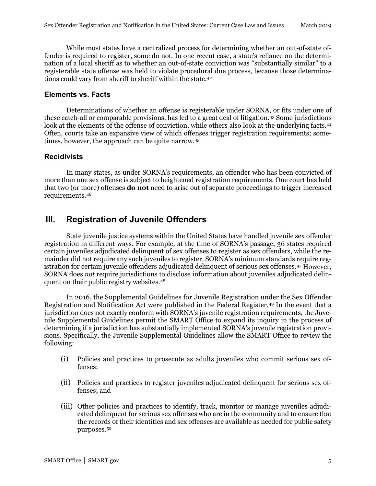While most states have a centralized process for determining whether an out-of-state offender is required to register, some do not. In one recent case, a state's reliance on the determination of a local sheriff as to whether an out-of-state conviction was "substantially similar" to a registerable state offense was held to violate procedural due process, because those determina-tions could vary from sheriff to sheriff within the state.<sup>[42](#page-22-7)</sup>

#### <span id="page-7-0"></span>**Elements vs. Facts**

Determinations of whether an offense is registerable under SORNA, or fits under one of these catch-all or comparable provisions, has led to a great deal of litigation.[43](#page-22-8) Some jurisdictions look at the elements of the offense of conviction, while others also look at the underlying facts.<sup>[44](#page-22-9)</sup> Often, courts take an expansive view of which offenses trigger registration requirements; sometimes, however, the approach can be quite narrow.[45](#page-22-10)

#### <span id="page-7-1"></span>**Recidivists**

In many states, as under SORNA's requirements, an offender who has been convicted of more than one sex offense is subject to heightened registration requirements. One court has held that two (or more) offenses **do not** need to arise out of separate proceedings to trigger increased requirements.[46](#page-23-0)

# <span id="page-7-2"></span>**III. Registration of Juvenile Offenders**

State juvenile justice systems within the United States have handled juvenile sex offender registration in different ways. For example, at the time of SORNA's passage, 36 states required certain juveniles adjudicated delinquent of sex offenses to register as sex offenders, while the remainder did not require any such juveniles to register. SORNA's minimum standards require registration for certain juvenile offenders adjudicated delinquent of serious sex offenses.[47](#page-23-1) However, SORNA does *not* require jurisdictions to disclose information about juveniles adjudicated delinquent on their public registry websites.[48](#page-23-2)

In 2016, the Supplemental Guidelines for Juvenile Registration under the Sex Offender Registration and Notification Act were published in the Federal Register.[49](#page-23-3) In the event that a jurisdiction does not exactly conform with SORNA's juvenile registration requirements, the Juvenile Supplemental Guidelines permit the SMART Office to expand its inquiry in the process of determining if a jurisdiction has substantially implemented SORNA's juvenile registration provisions. Specifically, the Juvenile Supplemental Guidelines allow the SMART Office to review the following:

- (i) Policies and practices to prosecute as adults juveniles who commit serious sex offenses;
- (ii) Policies and practices to register juveniles adjudicated delinquent for serious sex offenses; and
- (iii) Other policies and practices to identify, track, monitor or manage juveniles adjudicated delinquent for serious sex offenses who are in the community and to ensure that the records of their identities and sex offenses are available as needed for public safety purposes.[50](#page-23-4)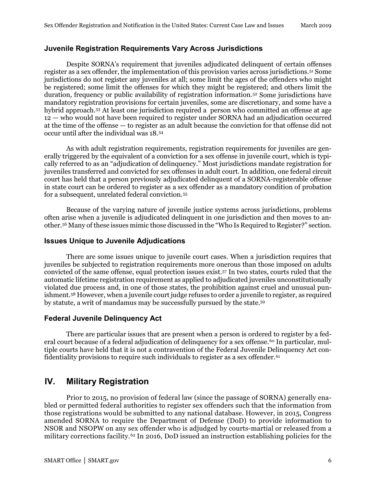#### <span id="page-8-0"></span>**Juvenile Registration Requirements Vary Across Jurisdictions**

Despite SORNA's requirement that juveniles adjudicated delinquent of certain offenses register as a sex offender, the implementation of this provision varies across jurisdictions.[51](#page-23-5) Some jurisdictions do not register any juveniles at all; some limit the ages of the offenders who might be registered; some limit the offenses for which they might be registered; and others limit the duration, frequency or public availability of registration information[.52](#page-23-6) Some jurisdictions have mandatory registration provisions for certain juveniles, some are discretionary, and some have a hybrid approach.[53](#page-23-7) At least one jurisdiction required a person who committed an offense at age 12 — who would not have been required to register under SORNA had an adjudication occurred at the time of the offense — to register as an adult because the conviction for that offense did not occur until after the individual was 18.[54](#page-23-8)

As with adult registration requirements, registration requirements for juveniles are generally triggered by the equivalent of a conviction for a sex offense in juvenile court, which is typically referred to as an "adjudication of delinquency." Most jurisdictions mandate registration for juveniles transferred and convicted for sex offenses in adult court. In addition, one federal circuit court has held that a person previously adjudicated delinquent of a SORNA-registerable offense in state court can be ordered to register as a sex offender as a mandatory condition of probation for a subsequent, unrelated federal conviction.[55](#page-23-9)

Because of the varying nature of juvenile justice systems across jurisdictions, problems often arise when a juvenile is adjudicated delinquent in one jurisdiction and then moves to another[.56](#page-23-10) Many of these issues mimic those discussed in the "Who Is Required to Register?" section.

#### <span id="page-8-1"></span>**Issues Unique to Juvenile Adjudications**

There are some issues unique to juvenile court cases. When a jurisdiction requires that juveniles be subjected to registration requirements more onerous than those imposed on adults convicted of the same offense, equal protection issues exist.[57](#page-23-11) In two states, courts ruled that the automatic lifetime registration requirement as applied to adjudicated juveniles unconstitutionally violated due process and, in one of those states, the prohibition against cruel and unusual punishment.[58](#page-23-12) However, when a juvenile court judge refuses to order a juvenile to register, as required by statute, a writ of mandamus may be successfully pursued by the state.[59](#page-24-0) 

#### <span id="page-8-2"></span>**Federal Juvenile Delinquency Act**

There are particular issues that are present when a person is ordered to register by a fed-eral court because of a federal adjudication of delinquency for a sex offense.<sup>[60](#page-24-1)</sup> In particular, multiple courts have held that it is not a contravention of the Federal Juvenile Delinquency Act con-fidentiality provisions to require such individuals to register as a sex offender.<sup>[61](#page-24-2)</sup>

# <span id="page-8-3"></span>**IV. Military Registration**

Prior to 2015, no provision of federal law (since the passage of SORNA) generally enabled or permitted federal authorities to register sex offenders such that the information from those registrations would be submitted to any national database. However, in 2015, Congress amended SORNA to require the Department of Defense (DoD) to provide information to NSOR and NSOPW on any sex offender who is adjudged by courts-martial or released from a military corrections facility.<sup>[62](#page-24-3)</sup> In 2016, DoD issued an instruction establishing policies for the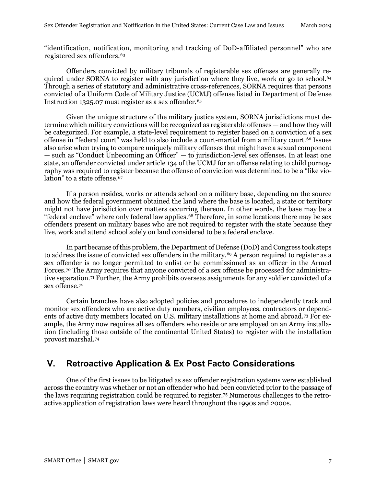"identification, notification, monitoring and tracking of DoD-affiliated personnel" who are registered sex offenders.[63](#page-24-4)

Offenders convicted by military tribunals of registerable sex offenses are generally re-quired under SORNA to register with any jurisdiction where they live, work or go to school.<sup>[64](#page-24-5)</sup> Through a series of statutory and administrative cross-references, SORNA requires that persons convicted of a Uniform Code of Military Justice (UCMJ) offense listed in Department of Defense Instruction 1325.07 must register as a sex offender.<sup>[65](#page-24-6)</sup>

Given the unique structure of the military justice system, SORNA jurisdictions must determine which military convictions will be recognized as registerable offenses — and how they will be categorized. For example, a state-level requirement to register based on a conviction of a sex offense in "federal court" was held to also include a court-martial from a military court.[66](#page-24-7) Issues also arise when trying to compare uniquely military offenses that might have a sexual component — such as "Conduct Unbecoming an Officer" — to jurisdiction-level sex offenses. In at least one state, an offender convicted under article 134 of the UCMJ for an offense relating to child pornography was required to register because the offense of conviction was determined to be a "like vio-lation" to a state offense.<sup>[67](#page-24-8)</sup>

If a person resides, works or attends school on a military base, depending on the source and how the federal government obtained the land where the base is located, a state or territory might not have jurisdiction over matters occurring thereon. In other words, the base may be a "federal enclave" where only federal law applies.[68](#page-24-9) Therefore, in some locations there may be sex offenders present on military bases who are not required to register with the state because they live, work and attend school solely on land considered to be a federal enclave.

In part because of this problem, the Department of Defense (DoD) and Congress took steps to address the issue of convicted sex offenders in the military.<sup>[69](#page-24-10)</sup> A person required to register as a sex offender is no longer permitted to enlist or be commissioned as an officer in the Armed Forces.<sup>[70](#page-24-11)</sup> The Army requires that anyone convicted of a sex offense be processed for administrative separation.[71](#page-24-12) Further, the Army prohibits overseas assignments for any soldier convicted of a sex offense.[72](#page-24-13)

Certain branches have also adopted policies and procedures to independently track and monitor sex offenders who are active duty members, civilian employees, contractors or dependents of active duty members located on U.S. military installations at home and abroad.[73](#page-24-14) For example, the Army now requires all sex offenders who reside or are employed on an Army installation (including those outside of the continental United States) to register with the installation provost marshal.[74](#page-25-0)

# <span id="page-9-0"></span>**V. Retroactive Application & Ex Post Facto Considerations**

One of the first issues to be litigated as sex offender registration systems were established across the country was whether or not an offender who had been convicted prior to the passage of the laws requiring registration could be required to register[.75](#page-25-1) Numerous challenges to the retroactive application of registration laws were heard throughout the 1990s and 2000s.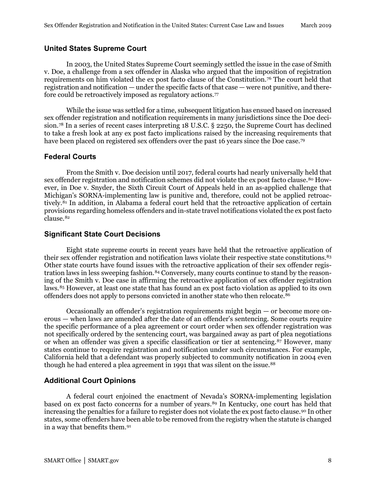#### <span id="page-10-0"></span>**United States Supreme Court**

In 2003, the United States Supreme Court seemingly settled the issue in the case of Smith v. Doe, a challenge from a sex offender in Alaska who argued that the imposition of registration requirements on him violated the ex post facto clause of the Constitution.[76](#page-25-2) The court held that registration and notification — under the specific facts of that case — were not punitive, and therefore could be retroactively imposed as regulatory actions.[77](#page-25-3)

While the issue was settled for a time, subsequent litigation has ensued based on increased sex offender registration and notification requirements in many jurisdictions since the Doe decision.[78](#page-25-4) In a series of recent cases interpreting 18 U.S.C. § 2250, the Supreme Court has declined to take a fresh look at any ex post facto implications raised by the increasing requirements that have been placed on registered sex offenders over the past 16 years since the Doe case.<sup>[79](#page-25-5)</sup>

#### <span id="page-10-1"></span>**Federal Courts**

From the Smith v. Doe decision until 2017, federal courts had nearly universally held that sex offender registration and notification schemes did not violate the ex post facto clause.<sup>[80](#page-25-6)</sup> However, in Doe v. Snyder, the Sixth Circuit Court of Appeals held in an as-applied challenge that Michigan's SORNA-implementing law is punitive and, therefore, could not be applied retroactively.[81](#page-25-7) In addition, in Alabama a federal court held that the retroactive application of certain provisions regarding homeless offenders and in-state travel notifications violated the ex post facto clause.[82](#page-25-8)

#### <span id="page-10-2"></span>**Significant State Court Decisions**

Eight state supreme courts in recent years have held that the retroactive application of their sex offender registration and notification laws violate their respective state constitutions.[83](#page-25-9) Other state courts have found issues with the retroactive application of their sex offender regis-tration laws in less sweeping fashion.<sup>[84](#page-25-10)</sup> Conversely, many courts continue to stand by the reasoning of the Smith v. Doe case in affirming the retroactive application of sex offender registration laws.[85](#page-26-0) However, at least one state that has found an ex post facto violation as applied to its own offenders does not apply to persons convicted in another state who then relocate.[86](#page-26-1)

Occasionally an offender's registration requirements might begin — or become more onerous — when laws are amended after the date of an offender's sentencing. Some courts require the specific performance of a plea agreement or court order when sex offender registration was not specifically ordered by the sentencing court, was bargained away as part of plea negotiations or when an offender was given a specific classification or tier at sentencing.[87](#page-26-2) However, many states continue to require registration and notification under such circumstances. For example, California held that a defendant was properly subjected to community notification in 2004 even though he had entered a plea agreement in 1991 that was silent on the issue.<sup>[88](#page-26-3)</sup>

#### <span id="page-10-3"></span>**Additional Court Opinions**

A federal court enjoined the enactment of Nevada's SORNA-implementing legislation based on ex post facto concerns for a number of years.<sup>[89](#page-26-4)</sup> In Kentucky, one court has held that increasing the penalties for a failure to register does not violate the ex post facto clause.<sup>90</sup> In other states, some offenders have been able to be removed from the registry when the statute is changed in a way that benefits them.[91](#page-26-6)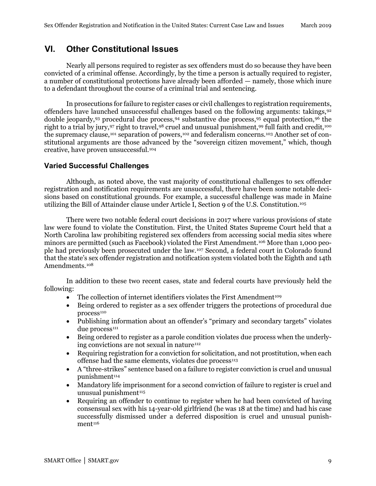# <span id="page-11-0"></span>**VI. Other Constitutional Issues**

Nearly all persons required to register as sex offenders must do so because they have been convicted of a criminal offense. Accordingly, by the time a person is actually required to register, a number of constitutional protections have already been afforded — namely, those which inure to a defendant throughout the course of a criminal trial and sentencing.

In prosecutions for failure to register cases or civil challenges to registration requirements, offenders have launched unsuccessful challenges based on the following arguments: takings,[92](#page-26-7) double jeopardy,[93](#page-26-8) procedural due process,[94](#page-26-9) substantive due process[,95](#page-26-10) equal protection,[96](#page-26-11) the right to a trial by jury, [97](#page-26-12) right to travel, [98](#page-26-13) cruel and unusual punishment, [99](#page-26-14) full faith and credit, [100](#page-27-0) the supremacy clause,[101](#page-27-1) separation of powers,[102](#page-27-2) and federalism concerns.[103](#page-27-3) Another set of constitutional arguments are those advanced by the "sovereign citizen movement," which, though creative, have proven unsuccessful.[104](#page-27-4)

#### <span id="page-11-1"></span>**Varied Successful Challenges**

Although, as noted above, the vast majority of constitutional challenges to sex offender registration and notification requirements are unsuccessful, there have been some notable decisions based on constitutional grounds. For example, a successful challenge was made in Maine utilizing the Bill of Attainder clause under Article I, Section 9 of the U.S. Constitution.<sup>[105](#page-27-5)</sup>

There were two notable federal court decisions in 2017 where various provisions of state law were found to violate the Constitution. First, the United States Supreme Court held that a North Carolina law prohibiting registered sex offenders from accessing social media sites where minors are permitted (such as Facebook) violated the First Amendment.[106](#page-27-6) More than 1,000 people had previously been prosecuted under the law.[107](#page-27-7) Second, a federal court in Colorado found that the state's sex offender registration and notification system violated both the Eighth and 14th Amendments.[108](#page-27-8)

In addition to these two recent cases, state and federal courts have previously held the following:

- The collection of internet identifiers violates the First Amendment<sup>109</sup>
- Being ordered to register as a sex offender triggers the protections of procedural due  $process<sup>110</sup>$  $process<sup>110</sup>$  $process<sup>110</sup>$
- Publishing information about an offender's "primary and secondary targets" violates due process<sup>[111](#page-27-11)</sup>
- Being ordered to register as a parole condition violates due process when the underly-ing convictions are not sexual in nature<sup>[112](#page-27-12)</sup>
- Requiring registration for a conviction for solicitation, and not prostitution, when each offense had the same elements, violates due process $113$
- A "three-strikes" sentence based on a failure to register conviction is cruel and unusual punishment<sup>[114](#page-27-14)</sup>
- Mandatory life imprisonment for a second conviction of failure to register is cruel and unusual punishment<sup>[115](#page-27-15)</sup>
- Requiring an offender to continue to register when he had been convicted of having consensual sex with his 14-year-old girlfriend (he was 18 at the time) and had his case successfully dismissed under a deferred disposition is cruel and unusual punish- $ment<sup>116</sup>$  $ment<sup>116</sup>$  $ment<sup>116</sup>$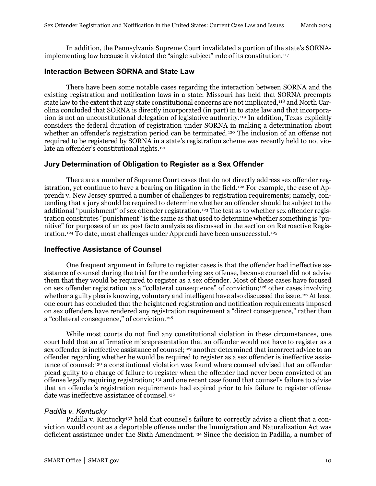In addition, the Pennsylvania Supreme Court invalidated a portion of the state's SORNAimplementing law because it violated the "single subject" rule of its constitution.[117](#page-28-0)

#### <span id="page-12-0"></span>**Interaction Between SORNA and State Law**

There have been some notable cases regarding the interaction between SORNA and the existing registration and notification laws in a state: Missouri has held that SORNA preempts state law to the extent that any state constitutional concerns are not implicated,<sup>[118](#page-28-1)</sup> and North Carolina concluded that SORNA is directly incorporated (in part) in to state law and that incorporation is not an unconstitutional delegation of legislative authority.[119](#page-28-2) In addition, Texas explicitly considers the federal duration of registration under SORNA in making a determination about whether an offender's registration period can be terminated.<sup>[120](#page-28-3)</sup> The inclusion of an offense not required to be registered by SORNA in a state's registration scheme was recently held to not violate an offender's constitutional rights.[121](#page-28-4)

#### <span id="page-12-1"></span>**Jury Determination of Obligation to Register as a Sex Offender**

There are a number of Supreme Court cases that do not directly address sex offender reg-istration, yet continue to have a bearing on litigation in the field.<sup>[122](#page-28-5)</sup> For example, the case of Apprendi v. New Jersey spurred a number of challenges to registration requirements; namely, contending that a jury should be required to determine whether an offender should be subject to the additional "punishment" of sex offender registration.[123](#page-28-6) The test as to whether sex offender registration constitutes "punishment" is the same as that used to determine whether something is "punitive" for purposes of an ex post facto analysis as discussed in the section on Retroactive Registration.[124](#page-28-7) To date, most challenges under Apprendi have been unsuccessful.[125](#page-28-8)

#### <span id="page-12-2"></span>**Ineffective Assistance of Counsel**

One frequent argument in failure to register cases is that the offender had ineffective assistance of counsel during the trial for the underlying sex offense, because counsel did not advise them that they would be required to register as a sex offender. Most of these cases have focused on sex offender registration as a "collateral consequence" of conviction;[126](#page-28-9) other cases involving whether a guilty plea is knowing, voluntary and intelligent have also discussed the issue.<sup>[127](#page-28-10)</sup>At least one court has concluded that the heightened registration and notification requirements imposed on sex offenders have rendered any registration requirement a "direct consequence," rather than a "collateral consequence," of conviction.[128](#page-28-11)

While most courts do not find any constitutional violation in these circumstances, one court held that an affirmative misrepresentation that an offender would not have to register as a sex offender is ineffective assistance of counsel;<sup>129</sup> another determined that incorrect advice to an offender regarding whether he would be required to register as a sex offender is ineffective assistance of counsel;[130](#page-28-13) a constitutional violation was found where counsel advised that an offender plead guilty to a charge of failure to register when the offender had never been convicted of an offense legally requiring registration; [131](#page-28-14) and one recent case found that counsel's failure to advise that an offender's registration requirements had expired prior to his failure to register offense date was ineffective assistance of counsel.<sup>[132](#page-28-15)</sup>

#### *Padilla v. Kentucky*

Padilla v. Kentucky<sup>[133](#page-28-16)</sup> held that counsel's failure to correctly advise a client that a conviction would count as a deportable offense under the Immigration and Naturalization Act was deficient assistance under the Sixth Amendment.[134](#page-28-17) Since the decision in Padilla*,* a number of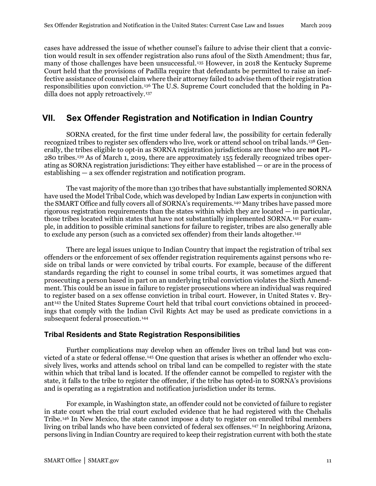cases have addressed the issue of whether counsel's failure to advise their client that a conviction would result in sex offender registration also runs afoul of the Sixth Amendment; thus far, many of those challenges have been unsuccessful.[135](#page-28-18) However, in 2018 the Kentucky Supreme Court held that the provisions of Padilla require that defendants be permitted to raise an ineffective assistance of counsel claim where their attorney failed to advise them of their registration responsibilities upon conviction.[136](#page-29-0) The U.S. Supreme Court concluded that the holding in Padilla does not apply retroactively.[137](#page-29-1)

# <span id="page-13-0"></span>**VII. Sex Offender Registration and Notification in Indian Country**

SORNA created, for the first time under federal law, the possibility for certain federally recognized tribes to register sex offenders who live, work or attend school on tribal lands[.138](#page-29-2) Generally, the tribes eligible to opt-in as SORNA registration jurisdictions are those who are **not** PL-280 tribes.[139](#page-29-3) As of March 1, 2019, there are approximately 155 federally recognized tribes operating as SORNA registration jurisdictions: They either have established — or are in the process of establishing — a sex offender registration and notification program.

The vast majority of the more than 130 tribes that have substantially implemented SORNA have used the Model Tribal Code, which was developed by Indian Law experts in conjunction with the SMART Office and fully covers all of SORNA's requirements.[140](#page-29-4) Many tribes have passed more rigorous registration requirements than the states within which they are located — in particular, those tribes located within states that have not substantially implemented SORNA.[141](#page-29-5) For example, in addition to possible criminal sanctions for failure to register, tribes are also generally able to exclude any person (such as a convicted sex offender) from their lands altogether.[142](#page-29-6)

There are legal issues unique to Indian Country that impact the registration of tribal sex offenders or the enforcement of sex offender registration requirements against persons who reside on tribal lands or were convicted by tribal courts. For example, because of the different standards regarding the right to counsel in some tribal courts, it was sometimes argued that prosecuting a person based in part on an underlying tribal conviction violates the Sixth Amendment. This could be an issue in failure to register prosecutions where an individual was required to register based on a sex offense conviction in tribal court. However, in United States v. Bry-ant<sup>[143](#page-29-7)</sup> the United States Supreme Court held that tribal court convictions obtained in proceedings that comply with the Indian Civil Rights Act may be used as predicate convictions in a subsequent federal prosecution.<sup>[144](#page-29-8)</sup>

#### <span id="page-13-1"></span>**Tribal Residents and State Registration Responsibilities**

Further complications may develop when an offender lives on tribal land but was convicted of a state or federal offense.[145](#page-29-9) One question that arises is whether an offender who exclusively lives, works and attends school on tribal land can be compelled to register with the state within which that tribal land is located. If the offender cannot be compelled to register with the state, it falls to the tribe to register the offender, if the tribe has opted-in to SORNA's provisions and is operating as a registration and notification jurisdiction under its terms.

For example, in Washington state, an offender could not be convicted of failure to register in state court when the trial court excluded evidence that he had registered with the Chehalis Tribe.[146](#page-29-10) In New Mexico, the state cannot impose a duty to register on enrolled tribal members living on tribal lands who have been convicted of federal sex offenses.[147](#page-29-11) In neighboring Arizona, persons living in Indian Country are required to keep their registration current with both the state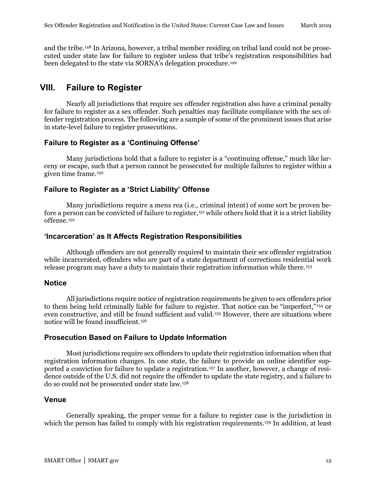and the tribe.[148](#page-29-12) In Arizona, however, a tribal member residing on tribal land could not be prosecuted under state law for failure to register unless that tribe's registration responsibilities had been delegated to the state via SORNA's delegation procedure.<sup>[149](#page-29-13)</sup>

# <span id="page-14-0"></span>**VIII. Failure to Register**

Nearly all jurisdictions that require sex offender registration also have a criminal penalty for failure to register as a sex offender. Such penalties may facilitate compliance with the sex offender registration process. The following are a sample of some of the prominent issues that arise in state-level failure to register prosecutions.

#### <span id="page-14-1"></span>**Failure to Register as a 'Continuing Offense'**

Many jurisdictions hold that a failure to register is a "continuing offense," much like larceny or escape, such that a person cannot be prosecuted for multiple failures to register within a given time frame.[150](#page-29-14)

#### <span id="page-14-2"></span>**Failure to Register as a 'Strict Liability' Offense**

Many jurisdictions require a mens rea (i.e., criminal intent) of some sort be proven be-fore a person can be convicted of failure to register,<sup>[151](#page-29-15)</sup> while others hold that it is a strict liability offense.[152](#page-29-16)

#### <span id="page-14-3"></span>**'Incarceration' as It Affects Registration Responsibilities**

Although offenders are not generally required to maintain their sex offender registration while incarcerated, offenders who are part of a state department of corrections residential work release program may have a duty to maintain their registration information while there.[153](#page-29-17)

#### <span id="page-14-4"></span>**Notice**

All jurisdictions require notice of registration requirements be given to sex offenders prior to them being held criminally liable for failure to register. That notice can be "imperfect,"[154](#page-29-18) or even constructive, and still be found sufficient and valid.[155](#page-29-19) However, there are situations where notice will be found insufficient.[156](#page-30-0)

#### <span id="page-14-5"></span>**Prosecution Based on Failure to Update Information**

Most jurisdictions require sex offenders to update their registration information when that registration information changes. In one state, the failure to provide an online identifier supported a conviction for failure to update a registration.[157](#page-30-1) In another, however, a change of residence outside of the U.S. did not require the offender to update the state registry, and a failure to do so could not be prosecuted under state law.[158](#page-30-2)

#### <span id="page-14-6"></span>**Venue**

Generally speaking, the proper venue for a failure to register case is the jurisdiction in which the person has failed to comply with his registration requirements.<sup>[159](#page-30-3)</sup> In addition, at least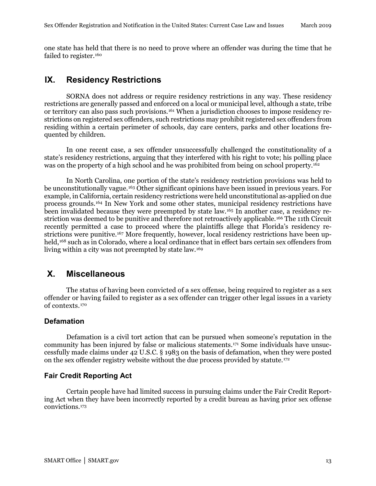one state has held that there is no need to prove where an offender was during the time that he failed to register.<sup>[160](#page-30-4)</sup>

# <span id="page-15-0"></span>**IX. Residency Restrictions**

SORNA does not address or require residency restrictions in any way. These residency restrictions are generally passed and enforced on a local or municipal level, although a state, tribe or territory can also pass such provisions.[161](#page-30-5) When a jurisdiction chooses to impose residency restrictions on registered sex offenders, such restrictions may prohibit registered sex offenders from residing within a certain perimeter of schools, day care centers, parks and other locations frequented by children.

In one recent case, a sex offender unsuccessfully challenged the constitutionality of a state's residency restrictions, arguing that they interfered with his right to vote; his polling place was on the property of a high school and he was prohibited from being on school property.<sup>[162](#page-30-6)</sup>

In North Carolina, one portion of the state's residency restriction provisions was held to be unconstitutionally vague.[163](#page-30-7) Other significant opinions have been issued in previous years. For example, in California, certain residency restrictions were held unconstitutional as-applied on due process grounds.[164](#page-30-8) In New York and some other states, municipal residency restrictions have been invalidated because they were preempted by state law.[165](#page-30-9) In another case, a residency restriction was deemed to be punitive and therefore not retroactively applicable.[166](#page-30-10) The 11th Circuit recently permitted a case to proceed where the plaintiffs allege that Florida's residency re-strictions were punitive.<sup>[167](#page-30-11)</sup> More frequently, however, local residency restrictions have been up-held,<sup>[168](#page-30-12)</sup> such as in Colorado, where a local ordinance that in effect bars certain sex offenders from living within a city was not preempted by state law.[169](#page-30-13)

# <span id="page-15-1"></span>**X. Miscellaneous**

The status of having been convicted of a sex offense, being required to register as a sex offender or having failed to register as a sex offender can trigger other legal issues in a variety of contexts.[170](#page-30-14)

#### <span id="page-15-2"></span>**Defamation**

Defamation is a civil tort action that can be pursued when someone's reputation in the community has been injured by false or malicious statements.[171](#page-30-15) Some individuals have unsuccessfully made claims under 42 U.S.C. § 1983 on the basis of defamation, when they were posted on the sex offender registry website without the due process provided by statute.[172](#page-30-16)

#### <span id="page-15-3"></span>**Fair Credit Reporting Act**

Certain people have had limited success in pursuing claims under the Fair Credit Reporting Act when they have been incorrectly reported by a credit bureau as having prior sex offense convictions.[173](#page-30-17)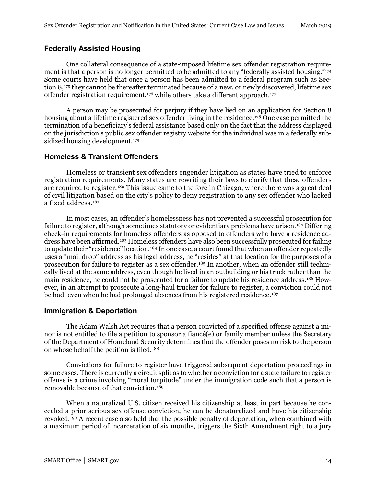#### <span id="page-16-0"></span>**Federally Assisted Housing**

One collateral consequence of a state-imposed lifetime sex offender registration requirement is that a person is no longer permitted to be admitted to any "federally assisted housing."[174](#page-30-18) Some courts have held that once a person has been admitted to a federal program such as Section 8,[175](#page-31-0) they cannot be thereafter terminated because of a new, or newly discovered, lifetime sex offender registration requirement,<sup>[176](#page-31-1)</sup> while others take a different approach.<sup>[177](#page-31-2)</sup>

A person may be prosecuted for perjury if they have lied on an application for Section 8 housing about a lifetime registered sex offender living in the residence.<sup>[178](#page-31-3)</sup> One case permitted the termination of a beneficiary's federal assistance based only on the fact that the address displayed on the jurisdiction's public sex offender registry website for the individual was in a federally sub-sidized housing development.<sup>[179](#page-31-4)</sup>

#### <span id="page-16-1"></span>**Homeless & Transient Offenders**

Homeless or transient sex offenders engender litigation as states have tried to enforce registration requirements. Many states are rewriting their laws to clarify that these offenders are required to register.[180](#page-31-5) This issue came to the fore in Chicago, where there was a great deal of civil litigation based on the city's policy to deny registration to any sex offender who lacked a fixed address.<sup>[181](#page-31-6)</sup>

In most cases, an offender's homelessness has not prevented a successful prosecution for failure to register, although sometimes statutory or evidentiary problems have arisen.<sup>[182](#page-31-7)</sup> Differing check-in requirements for homeless offenders as opposed to offenders who have a residence address have been affirmed.[183](#page-31-8) Homeless offenders have also been successfully prosecuted for failing to update their "residence" location.<sup>[184](#page-31-9)</sup> In one case, a court found that when an offender repeatedly uses a "mail drop" address as his legal address, he "resides" at that location for the purposes of a prosecution for failure to register as a sex offender.[185](#page-31-10) In another, when an offender still technically lived at the same address, even though he lived in an outbuilding or his truck rather than the main residence, he could not be prosecuted for a failure to update his residence address.[186](#page-31-11) However, in an attempt to prosecute a long-haul trucker for failure to register, a conviction could not be had, even when he had prolonged absences from his registered residence.[187](#page-31-12)

#### <span id="page-16-2"></span>**Immigration & Deportation**

The Adam Walsh Act requires that a person convicted of a specified offense against a minor is not entitled to file a petition to sponsor a fiancé(e) or family member unless the Secretary of the Department of Homeland Security determines that the offender poses no risk to the person on whose behalf the petition is filed.[188](#page-31-13)

Convictions for failure to register have triggered subsequent deportation proceedings in some cases. There is currently a circuit split as to whether a conviction for a state failure to register offense is a crime involving "moral turpitude" under the immigration code such that a person is removable because of that conviction.[189](#page-31-14)

When a naturalized U.S. citizen received his citizenship at least in part because he concealed a prior serious sex offense conviction, he can be denaturalized and have his citizenship revoked.[190](#page-31-15) A recent case also held that the possible penalty of deportation, when combined with a maximum period of incarceration of six months, triggers the Sixth Amendment right to a jury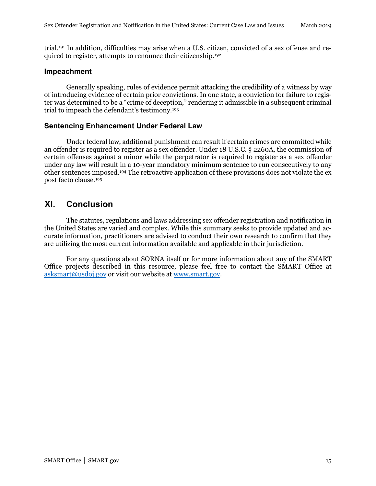trial.[191](#page-31-2) In addition, difficulties may arise when a U.S. citizen, convicted of a sex offense and required to register, attempts to renounce their citizenship.[192](#page-31-3)

#### <span id="page-17-0"></span>**Impeachment**

Generally speaking, rules of evidence permit attacking the credibility of a witness by way of introducing evidence of certain prior convictions. In one state, a conviction for failure to register was determined to be a "crime of deception," rendering it admissible in a subsequent criminal trial to impeach the defendant's testimony.[193](#page-31-4)

#### <span id="page-17-1"></span>**Sentencing Enhancement Under Federal Law**

Under federal law, additional punishment can result if certain crimes are committed while an offender is required to register as a sex offender. Under 18 U.S.C. § 2260A, the commission of certain offenses against a minor while the perpetrator is required to register as a sex offender under any law will result in a 10-year mandatory minimum sentence to run consecutively to any other sentences imposed.[194](#page-31-16) The retroactive application of these provisions does not violate the ex post facto clause.[195](#page-31-17)

# <span id="page-17-2"></span>**XI. Conclusion**

The statutes, regulations and laws addressing sex offender registration and notification in the United States are varied and complex. While this summary seeks to provide updated and accurate information, practitioners are advised to conduct their own research to confirm that they are utilizing the most current information available and applicable in their jurisdiction.

For any questions about SORNA itself or for more information about any of the SMART Office projects described in this resource, please feel free to contact the SMART Office at [asksmart@usdoj.gov](mailto:asksmart@usdoj.gov) or visit our website at www.smart.gov.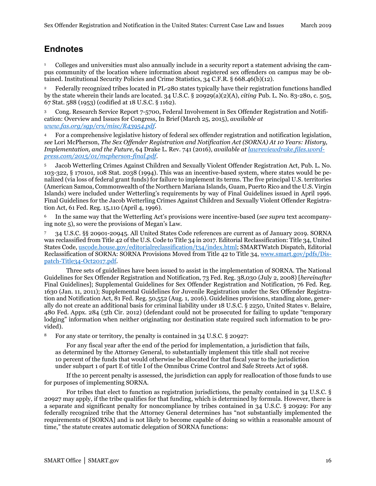# <span id="page-18-0"></span>**Endnotes**

<sup>1</sup> Colleges and universities must also annually include in a security report a statement advising the campus community of the location where information about registered sex offenders on campus may be obtained. Institutional Security Policies and Crime Statistics, 34 C.F.R. § 668.46(b)(12).

<sup>2</sup> Federally recognized tribes located in PL-280 states typically have their registration functions handled by the state wherein their lands are located. 34 U.S.C. § 20929(a)(2)(A), *citing* Pub. L. No. 83-280, c. 505, 67 Stat. 588 (1953) (codified at 18 U.S.C. § 1162).

<sup>3</sup> Cong. Research Service Report 7-5700, Federal Involvement in Sex Offender Registration and Notification: Overview and Issues for Congress, In Brief (March 25, 2015), *available at [www.fas.org/sgp/crs/misc/R43954.pdf](https://www.fas.org/sgp/crs/misc/R43954.pdf)*.

<sup>4</sup> For a comprehensive legislative history of federal sex offender registration and notification legislation, *see* Lori McPherson, *The Sex Offender Registration and Notification Act (SORNA) At 10 Years: History, Implementation, and the Future*, 64 Drake L. Rev. 741 (2016), *available at [lawreviewdrake.files.word](https://lawreviewdrake.files.wordpress.com/2015/01/mcpherson-final.pdf)[press.com/2015/01/mcpherson-final.pdf](https://lawreviewdrake.files.wordpress.com/2015/01/mcpherson-final.pdf)*.

<sup>5</sup> Jacob Wetterling Crimes Against Children and Sexually Violent Offender Registration Act, Pub. L. No. 103-322, § 170101, 108 Stat. 2038 (1994). This was an incentive-based system, where states would be penalized (via loss of federal grant funds) for failure to implement its terms. The five principal U.S. territories (American Samoa, Commonwealth of the Northern Mariana Islands, Guam, Puerto Rico and the U.S. Virgin Islands) were included under Wetterling's requirements by way of Final Guidelines issued in April 1996. Final Guidelines for the Jacob Wetterling Crimes Against Children and Sexually Violent Offender Registration Act, 61 Fed. Reg. 15,110 (April 4, 1996).

<sup>6</sup> In the same way that the Wetterling Act's provisions were incentive-based (*see supra* text accompanying note 5), so were the provisions of Megan's Law.

<sup>7</sup> 34 U.S.C. §§ 20901-20945*.* All United States Code references are current as of January 2019. SORNA was reclassified from Title 42 of the U.S. Code to Title 34 in 2017. Editorial Reclassification: Title 34, United States Code, [uscode.house.gov/editorialreclassification/t34/index.html;](http://uscode.house.gov/editorialreclassification/t34/index.html) SMARTWatch Dispatch, Editorial Reclassification of SORNA: SORNA Provisions Moved from Title 42 to Title 34, [www.smart.gov/pdfs/Dis](https://www.smart.gov/pdfs/Dispatch-Title34-Oct2017.pdf)[patch-Title34-Oct2017.pdf.](https://www.smart.gov/pdfs/Dispatch-Title34-Oct2017.pdf)

Three sets of guidelines have been issued to assist in the implementation of SORNA. The National Guidelines for Sex Offender Registration and Notification, 73 Fed. Reg. 38,030 (July 2, 2008) [*hereinafter*  Final Guidelines]; Supplemental Guidelines for Sex Offender Registration and Notification, 76 Fed. Reg. 1630 (Jan. 11, 2011); Supplemental Guidelines for Juvenile Registration under the Sex Offender Registration and Notification Act, 81 Fed. Reg. 50,552 (Aug. 1, 2016). Guidelines provisions, standing alone, generally do not create an additional basis for criminal liability under 18 U.S.C. § 2250, United States v. Belaire, 480 Fed. Appx. 284 (5th Cir. 2012) (defendant could not be prosecuted for failing to update "temporary lodging" information when neither originating nor destination state required such information to be provided).

<sup>8</sup> For any state or territory, the penalty is contained in 34 U.S.C. § 20927:

For any fiscal year after the end of the period for implementation, a jurisdiction that fails, as determined by the Attorney General, to substantially implement this title shall not receive 10 percent of the funds that would otherwise be allocated for that fiscal year to the jurisdiction under subpart 1 of part E of title I of the Omnibus Crime Control and Safe Streets Act of 1968.

If the 10 percent penalty is assessed, the jurisdiction can apply for reallocation of those funds to use for purposes of implementing SORNA.

For tribes that elect to function as registration jurisdictions, the penalty contained in 34 U.S.C. § 20927 may apply, if the tribe qualifies for that funding, which is determined by formula. However, there is a separate and significant penalty for noncompliance by tribes contained in 34 U.S.C. § 20929: For any federally recognized tribe that the Attorney General determines has "not substantially implemented the requirements of [SORNA] and is not likely to become capable of doing so within a reasonable amount of time," the statute creates automatic delegation of SORNA functions: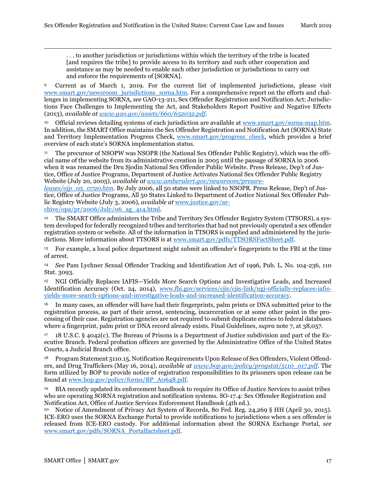. . . to another jurisdiction or jurisdictions within which the territory of the tribe is located [and requires the tribe] to provide access to its territory and such other cooperation and assistance as may be needed to enable such other jurisdiction or jurisdictions to carry out and enforce the requirements of [SORNA].

<span id="page-19-1"></span><sup>9</sup> Current as of March 1, 2019. For the current list of implemented jurisdictions, please visit [www.smart.gov/newsroom\\_jurisdictions\\_sorna.htm.](http://www.smart.gov/newsroom_jurisdictions_sorna.htm) For a comprehensive report on the efforts and challenges in implementing SORNA, *see* GAO-13-211, Sex Offender Registration and Notification Act: Jurisdictions Face Challenges to Implementing the Act, and Stakeholders Report Positive and Negative Effects (2013), *available a[t www.gao.gov/assets/660/652032.pdf](http://www.gao.gov/assets/660/652032.pdf)*.

<span id="page-19-3"></span><span id="page-19-2"></span><sup>10</sup> Official reviews detailing systems of each jurisdiction are available at [www.smart.gov/sorna-map.htm.](http://www.smart.gov/sorna-map.htm)  In addition, the SMART Office maintains the Sex Offender Registration and Notification Act (SORNA) State and Territory Implementation Progress Check, [www.smart.gov/progress\\_check,](https://www.smart.gov/pdfs/SORNA-progress-check.pdf) which provides a brief overview of each state's SORNA implementation status.

<span id="page-19-4"></span><sup>11</sup> The precursor of NSOPW was NSOPR (the National Sex Offender Public Registry), which was the official name of the website from its administrative creation in 2005 until the passage of SORNA in 2006 when it was renamed the Dru Sjodin National Sex Offender Public Website. Press Release, Dep't of Justice, Office of Justice Programs, Department of Justice Activates National Sex Offender Public Registry Website (July 20, 2005), *available a[t www.amberalert.gov/newsroom/pressre-](http://www.amberalert.gov/newsroom/pressreleases/ojp_05_0720.htm)*

*[leases/ojp\\_05\\_0720.htm](http://www.amberalert.gov/newsroom/pressreleases/ojp_05_0720.htm)*. By July 2006, all 50 states were linked to NSOPR. Press Release, Dep't of Justice, Office of Justice Programs, All 50 States Linked to Department of Justice National Sex Offender Public Registry Website (July 3, 2006), *available at* [www.justice.gov/ar-](https://www.justice.gov/archive/opa/pr/2006/July/06_ag_414.html) $\frac{\text{chive} / \text{opa}}{\text{pr} / \text{2006} / \text{July} / \text{06}}$  ag 414.html.

<span id="page-19-5"></span><sup>12</sup> The SMART Office administers the Tribe and Territory Sex Offender Registry System (TTSORS), a system developed for federally recognized tribes and territories that had not previously operated a sex offender registration system or website. All of the information in TTSORS is supplied and administered by the jurisdictions. More information about TTSORS is at [www.smart.gov/pdfs/TTSORSFactSheet.pdf.](https://www.smart.gov/pdfs/TTSORSFactSheet.pdf)

<span id="page-19-6"></span><sup>13</sup> For example, a local police department might submit an offender's fingerprints to the FBI at the time of arrest.

<sup>14</sup> *See* Pam Lychner Sexual Offender Tracking and Identification Act of 1996, Pub. L. No. 104-236, 110 Stat. 3093.

<sup>15</sup> NGI Officially Replaces IAFIS—Yields More Search Options and Investigative Leads, and Increased Identification Accuracy (Oct. 24, 2014), [www.fbi.gov/services/cjis/cjis-link/ngi-officially-replaces-iafis](https://www.fbi.gov/services/cjis/cjis-link/ngi-officially-replaces-iafis-yields-more-search-options-and-investigative-leads-and-increased-identification-accuracy)[yields-more-search-options-and-investigative-leads-and-increased-identification-accuracy.](https://www.fbi.gov/services/cjis/cjis-link/ngi-officially-replaces-iafis-yields-more-search-options-and-investigative-leads-and-increased-identification-accuracy)

<sup>16</sup> In many cases, an offender will have had their fingerprints, palm prints or DNA submitted prior to the registration process, as part of their arrest, sentencing, incarceration or at some other point in the processing of their case. Registration agencies are not required to submit duplicate entries to federal databases where a fingerprint, palm print or DNA record already exists. Final Guidelines, *supra* note 7, at 38,057.

<span id="page-19-7"></span> $17$  18 U.S.C. § 4042(c). The Bureau of Prisons is a Department of Justice subdivision and part of the Executive Branch. Federal probation officers are governed by the Administrative Office of the United States Courts, a Judicial Branch office.

<sup>18</sup> Program Statement 5110.15, Notification Requirements Upon Release of Sex Offenders, Violent Offenders, and Drug Traffickers (May 16, 2014), *available at [www.bop.gov/policy/progstat/5110\\_017.pdf](https://www.bop.gov/policy/progstat/5110_017.pdf)*. The form utilized by BOP to provide notice of registration responsibilities to its prisoners upon release can be found at [www.bop.gov/policy/forms/BP\\_A0648.pdf.](https://www.bop.gov/policy/forms/BP_A0648.pdf)

19 BIA recently updated its enforcement handbook to require its Office of Justice Services to assist tribes who are operating SORNA registration and notification systems. SO-17.4: Sex Offender Registration and Notification Act, Office of Justice Services Enforcement Handbook (4th ed.).

<sup>20</sup> Notice of Amendment of Privacy Act System of Records, 80 Fed. Reg. 24,269 § HH (April 30, 2015). ICE-ERO uses the SORNA Exchange Portal to provide notifications to jurisdictions when a sex offender is released from ICE-ERO custody. For additional information about the SORNA Exchange Portal, *see* [www.smart.gov/pdfs/SORNA\\_Portalfactsheet.pdf.](https://www.smart.gov/pdfs/SORNA_Portalfactsheet.pdf)

<span id="page-19-0"></span>1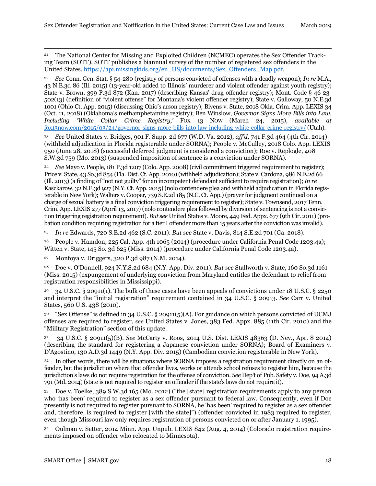21 The National Center for Missing and Exploited Children (NCMEC) operates the Sex Offender Tracking Team (SOTT). SOTT publishes a biannual survey of the number of registered sex offenders in the United States. https://api.missingkids.org/en\_US/documents/Sex\_Offenders\_Map.pdf.

<span id="page-20-0"></span><sup>22</sup> *See* Conn. Gen. Stat. § 54-280 (registry of persons convicted of offenses with a deadly weapon); *In re* M.A., 43 N.E.3d 86 (Ill. 2015) (13-year-old added to Illinois' murderer and violent offender against youth registry); State v. Brown, 399 P.3d 872 (Kan. 2017) (describing Kansas' drug offender registry); Mont. Code § 46-23- 502(13) (definition of "violent offense" for Montana's violent offender registry); State v. Galloway, 50 N.E.3d 1001 (Ohio Ct. App. 2015) (discussing Ohio's arson registry); Bivens v. State, 2018 Okla. Crim. App. LEXIS 34 (Oct. 11, 2018) (Oklahoma's methamphetamine registry); Ben Winslow, *Governor Signs More Bills into Law, Including 'White Collar Crime Registry,'* FOX 13 NOW (March 24, 2015), *available at*  [fox13now.com/2015/03/24/governor-signs-more-bills-into-law-including-white-collar-crime-registry/](http://fox13now.com/2015/03/24/governor-signs-more-bills-into-law-including-white-collar-crime-registry/) (Utah).

<span id="page-20-1"></span><sup>23</sup> *See* United States v. Bridges, 901 F. Supp. 2d 677 (W.D. Va. 2012), *aff'd,* 741 F.3d 464 (4th Cir. 2014) (withheld adjudication in Florida registerable under SORNA); People v. McCulley, 2018 Colo. App. LEXIS 950 (June 28, 2018) (successful deferred judgment is considered a conviction); Roe v. Replogle, 408 S.W.3d 759 (Mo. 2013) (suspended imposition of sentence is a conviction under SORNA).

<span id="page-20-2"></span><sup>24</sup> *See* Mayo v. People, 181 P.3d 1207 (Colo. App. 2008) (civil commitment triggered requirement to register); Price v. State, 43 So.3d 854 (Fla. Dist. Ct. App. 2010) (withheld adjudication); State v. Cardona, 986 N.E.2d 66 (Ill. 2013) (a finding of "not not guilty" for an incompetent defendant sufficient to require registration); *In re* Kasckarow, 32 N.E.3d 927 (N.Y. Ct. App. 2015) (nolo contendere plea and withheld adjudication in Florida registerable in New York); Walters v. Cooper, 739 S.E.2d 185 (N.C. Ct. App.) (prayer for judgment continued on a charge of sexual battery is a final conviction triggering requirement to register); State v. Townsend, 2017 Tenn. Crim. App. LEXIS 277 (April 13, 2017) (nolo contendere plea followed by diversion of sentencing is not a conviction triggering registration requirement). *But see* United States v. Moore, 449 Fed. Appx. 677 (9th Cir. 2011) (probation condition requiring registration for a tier I offender more than 15 years after the conviction was invalid).

<span id="page-20-3"></span><sup>25</sup> *In re* Edwards, 720 S.E.2d 462 (S.C. 2011). *But see* State v. Davis, 814 S.E.2d 701 (Ga. 2018).

<span id="page-20-4"></span><sup>26</sup> People v. Hamdon, 225 Cal. App. 4th 1065 (2014) (procedure under California Penal Code 1203.4a); Witten v. State, 145 So. 3d 625 (Miss. 2014) (procedure under California Penal Code 1203.4a).

<sup>27</sup> Montoya v. Driggers, 320 P.3d 987 (N.M. 2014).

<span id="page-20-5"></span><sup>28</sup> Doe v. O'Donnell, 924 N.Y.S.2d 684 (N.Y. App. Div. 2011). *But see* Stallworth v. State, 160 So.3d 1161 (Miss. 2015) (expungement of underlying conviction from Maryland entitles the defendant to relief from registration responsibilities in Mississippi).

<span id="page-20-6"></span><sup>29</sup> 34 U.S.C. § 20911(1). The bulk of these cases have been appeals of convictions under 18 U.S.C. § 2250 and interpret the "initial registration" requirement contained in 34 U.S.C. § 20913. *See* Carr v. United States, 560 U.S. 438 (2010).

<span id="page-20-7"></span><sup>30</sup> "Sex Offense" is defined in 34 U.S.C. § 20911(5)(A). For guidance on which persons convicted of UCMJ offenses are required to register, *see* United States v. Jones, 383 Fed. Appx. 885 (11th Cir. 2010) and the "Military Registration" section of this update.

<span id="page-20-8"></span><sup>31</sup> 34 U.S.C. § 20911(5)(B). *See* McCarty v. Roos, 2014 U.S. Dist. LEXIS 48363 (D. Nev., Apr. 8 2014) (describing the standard for registering a Japanese conviction under SORNA); Board of Examiners v. D'Agostino, 130 A.D.3d 1449 (N.Y. App. Div. 2015) (Cambodian conviction registerable in New York).

<span id="page-20-9"></span><sup>32</sup> In other words, there will be situations where SORNA imposes a registration requirement directly on an offender, but the jurisdiction where that offender lives, works or attends school refuses to register him, because the jurisdiction's laws do not require registration for the offense of conviction. *See* Dep't of Pub. Safety v. Doe, 94 A.3d 791 (Md. 2014) (state is not required to register an offender if the state's laws do not require it).

<span id="page-20-10"></span><sup>33</sup> Doe v. Toelke, 389 S.W.3d 165 (Mo. 2012) ("the [state] registration requirements apply to any person who 'has been' required to register as a sex offender pursuant to federal law. Consequently, even if Doe presently is not required to register pursuant to SORNA, he 'has been' required to register as a sex offender and, therefore, is required to register [with the state]") (offender convicted in 1983 required to register, even though Missouri law only requires registration of persons convicted on or after January 1, 1995).

<span id="page-20-11"></span><sup>34</sup> Oulman v. Setter, 2014 Minn. App. Unpub. LEXIS 842 (Aug. 4, 2014) (Colorado registration requirements imposed on offender who relocated to Minnesota).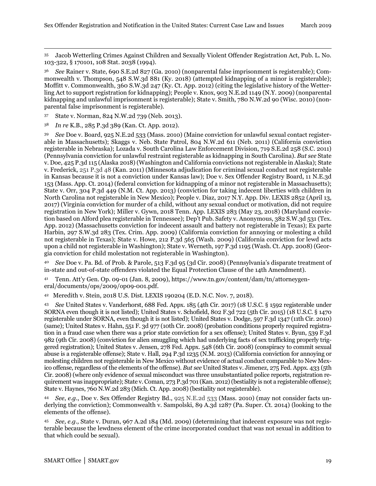<span id="page-21-0"></span> 35 Jacob Wetterling Crimes Against Children and Sexually Violent Offender Registration Act, Pub. L. No. 103-322, § 170101, 108 Stat. 2038 (1994).

<span id="page-21-1"></span><sup>36</sup> *See* Rainer v. State, 690 S.E.2d 827 (Ga. 2010) (nonparental false imprisonment is registerable); Commonwealth v. Thompson, 548 S.W.3d 881 (Ky. 2018) (attempted kidnapping of a minor is registerable); Moffitt v. Commonwealth, 360 S.W.3d 247 (Ky. Ct. App. 2012) (citing the legislative history of the Wetterling Act to support registration for kidnapping); People v. Knox, 903 N.E.2d 1149 (N.Y. 2009) (nonparental kidnapping and unlawful imprisonment is registerable); State v. Smith, 780 N.W.2d 90 (Wisc. 2010) (nonparental false imprisonment is registerable).

<sup>37</sup> State v. Norman, 824 N.W.2d 739 (Neb. 2013).

<sup>38</sup> *In re* K.B., 285 P.3d 389 (Kan. Ct. App. 2012).

<span id="page-21-3"></span><span id="page-21-2"></span><sup>39</sup> *See* Doe v. Board, 925 N.E.2d 533 (Mass. 2010) (Maine conviction for unlawful sexual contact registerable in Massachusetts); Skaggs v. Neb. State Patrol, 804 N.W.2d 611 (Neb. 2011) (California conviction registerable in Nebraska); Lozada v. South Carolina Law Enforcement Division, 719 S.E.2d 258 (S.C. 2011) (Pennsylvania conviction for unlawful restraint registerable as kidnapping in South Carolina). *But see* State v. Doe, 425 P.3d 115 (Alaska 2018) (Washington and California convictions not registerable in Alaska); State v. Frederick, 251 P.3d 48 (Kan. 2011) (Minnesota adjudication for criminal sexual conduct not registerable in Kansas because it is not a conviction under Kansas law); Doe v. Sex Offender Registry Board, 11 N.E.3d 153 (Mass. App. Ct. 2014) (federal conviction for kidnapping of a minor not registerable in Massachusetts); State v. Orr, 304 P.3d 449 (N.M. Ct. App. 2013) (conviction for taking indecent liberties with children in North Carolina not registerable in New Mexico); People v. Diaz, 2017 N.Y. App. Div. LEXIS 2852 (April 13, 2017) (Virginia conviction for murder of a child, without any sexual conduct or motivation, did not require registration in New York); Miller v. Gywn, 2018 Tenn. App. LEXIS 283 (May 23, 2018) (Maryland conviction based on Alford plea registerable in Tennessee); Dep't Pub. Safety v. Anonymous, 382 S.W.3d 531 (Tex. App. 2012) (Massachusetts conviction for indecent assault and battery not registerable in Texas); Ex parte Harbin, 297 S.W.3d 283 (Tex. Crim. App. 2009) (California conviction for annoying or molesting a child not registerable in Texas); State v. Howe, 212 P.3d 565 (Wash. 2009) (California conviction for lewd acts upon a child not registerable in Washington); State v. Werneth, 197 P.3d 1195 (Wash. Ct. App. 2008) (Georgia conviction for child molestation not registerable in Washington).

<span id="page-21-7"></span><span id="page-21-6"></span><span id="page-21-5"></span><span id="page-21-4"></span><sup>40</sup> *See* Doe v. Pa. Bd. of Prob. & Parole, 513 F.3d 95 (3d Cir. 2008) (Pennsylvania's disparate treatment of in-state and out-of-state offenders violated the Equal Protection Clause of the 14th Amendment).

<sup>41</sup> Tenn. Att'y Gen. Op. 09-01 (Jan. 8, 2009), https://www.tn.gov/content/dam/tn/attorneygeneral/documents/ops/2009/op09-001.pdf.

<span id="page-21-8"></span>42 Meredith v. Stein, 2018 U.S. Dist. LEXIS 190204 (E.D. N.C. Nov. 7, 2018).

<span id="page-21-10"></span><span id="page-21-9"></span><sup>43</sup> *See* United States v. Vanderhorst, 688 Fed. Appx. 185 (4th Cir. 2017) (18 U.S.C. § 1592 registerable under SORNA even though it is not listed); United States v. Schofield, 802 F.3d 722 (5th Cir. 2015) (18 U.S.C. § 1470 registerable under SORNA, even though it is not listed); United States v. Dodge, 597 F.3d 1347 (11th Cir. 2010) (same); United States v. Hahn, 551 F. 3d 977 (10th Cir. 2008) (probation conditions properly required registration in a fraud case when there was a prior state conviction for a sex offense); United States v. Byun, 539 F.3d 982 (9th Cir. 2008) (conviction for alien smuggling which had underlying facts of sex trafficking properly triggered registration); United States v. Jensen, 278 Fed. Appx. 548 (6th Cir. 2008) (conspiracy to commit sexual abuse is a registerable offense); State v. Hall, 294 P.3d 1235 (N.M. 2013) (California conviction for annoying or molesting children not registerable in New Mexico without evidence of actual conduct comparable to New Mexico offense, regardless of the elements of the offense). *But see* United States v. Jimenez, 275 Fed. Appx. 433 (5th Cir. 2008) (where only evidence of sexual misconduct was three unsubstantiated police reports, registration requirement was inappropriate); State v. Coman, 273 P.3d 701 (Kan. 2012) (bestiality is not a registerable offense); State v. Haynes, 760 N.W.2d 283 (Mich. Ct. App. 2008) (bestiality not registerable).

<span id="page-21-12"></span><span id="page-21-11"></span><sup>44</sup> *See*, *e.g.*, Doe v. Sex Offender Registry Bd., 925 N.E.2d 533 (Mass. 2010) (may not consider facts underlying the conviction); Commonwealth v. Sampolski, 89 A.3d 1287 (Pa. Super. Ct. 2014) (looking to the elements of the offense).

<span id="page-21-13"></span><sup>45</sup> *See, e.g.,* State v. Duran, 967 A.2d 184 (Md. 2009) (determining that indecent exposure was not registerable because the lewdness element of the crime incorporated conduct that was not sexual in addition to that which could be sexual).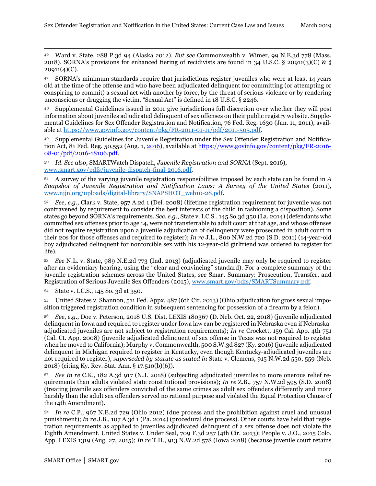<span id="page-22-0"></span> 46 Ward v. State, 288 P.3d 94 (Alaska 2012). *But see* Commonwealth v. Wimer, 99 N.E.3d 778 (Mass. 2018). SORNA's provisions for enhanced tiering of recidivists are found in 34 U.S.C. § 20911(3)(C) & §  $20911(4)(C)$ .

<span id="page-22-1"></span><sup>47</sup> SORNA's minimum standards require that jurisdictions register juveniles who were at least 14 years old at the time of the offense and who have been adjudicated delinquent for committing (or attempting or conspiring to commit) a sexual act with another by force, by the threat of serious violence or by rendering unconscious or drugging the victim. "Sexual Act" is defined in 18 U.S.C. § 2246.

<span id="page-22-2"></span><sup>48</sup> Supplemental Guidelines issued in 2011 give jurisdictions full discretion over whether they will post information about juveniles adjudicated delinquent of sex offenses on their public registry website. Supplemental Guidelines for Sex Offender Registration and Notification, 76 Fed. Reg. 1630 (Jan. 11, 2011), available at [https://www.govinfo.gov/content/pkg/FR-2011-01-11/pdf/2011-505.pdf.](https://www.govinfo.gov/content/pkg/FR-2011-01-11/pdf/2011-505.pdf) 

<span id="page-22-4"></span><span id="page-22-3"></span><sup>49</sup> Supplemental Guidelines for Juvenile Registration under the Sex Offender Registration and Notification Act, 81 Fed. Reg. 50,552 (Aug. 1, 2016), available at https://www.govinfo.gov/content/pkg/FR-2016- 08-01/pdf/2016-18106.pdf.

<sup>50</sup> *Id. See also,* SMARTWatch Dispatch, *Juvenile Registration and SORNA* (Sept. 2016), [www.smart.gov/pdfs/juvenile-dispatch-final-2016.pdf.](https://www.smart.gov/pdfs/juvenile-dispatch-final-2016.pdf)

<sup>51</sup> A survey of the varying juvenile registration responsibilities imposed by each state can be found in *A Snapshot of Juvenile Registration and Notification Laws: A Survey of the United States* (2011), [www.njjn.org/uploads/digital-library/SNAPSHOT\\_web10-28.pdf.](http://www.njjn.org/uploads/digital-library/SNAPSHOT_web10-28.pdf)

<sup>52</sup> *See, e.g.,* Clark v. State, 957 A.2d 1 (Del. 2008) (lifetime registration requirement for juvenile was not contravened by requirement to consider the best interests of the child in fashioning a disposition). Some states go beyond SORNA's requirements. *See*, *e.g.*, State v. I.C.S., 145 So.3d 350 (La. 2014) (defendants who committed sex offenses prior to age 14, were not transferrable to adult court at that age, and whose offenses did not require registration upon a juvenile adjudication of delinquency were prosecuted in adult court in their 20s for those offenses and required to register); *In re* J.L., 800 N.W.2d 720 (S.D. 2011) (14-year-old boy adjudicated delinquent for nonforcible sex with his 12-year-old girlfriend was ordered to register for life).

<span id="page-22-5"></span><sup>53</sup> *See* N.L. v. State, 989 N.E.2d 773 (Ind. 2013) (adjudicated juvenile may only be required to register after an evidentiary hearing, using the "clear and convincing" standard). For a complete summary of the juvenile registration schemes across the United States, *see* Smart Summary: Prosecution, Transfer, and Registration of Serious Juvenile Sex Offenders (2015), [www.smart.gov/pdfs/SMARTSummary.pdf.](https://www.smart.gov/pdfs/SMARTSummary.pdf)

<span id="page-22-7"></span><span id="page-22-6"></span><sup>54</sup> State v. I.C.S., 145 So. 3d at 350.

<span id="page-22-8"></span><sup>55</sup> United States v. Shannon, 511 Fed. Appx. 487 (6th Cir. 2013) (Ohio adjudication for gross sexual imposition triggered registration condition in subsequent sentencing for possession of a firearm by a felon).

<sup>56</sup> *See*, *e.g.*, Doe v. Peterson, 2018 U.S. Dist. LEXIS 180367 (D. Neb. Oct. 22, 2018) (juvenile adjudicated delinquent in Iowa and required to register under Iowa law can be registered in Nebraska even if Nebraskaadjudicated juveniles are not subject to registration requirements); *In re* Crockett, 159 Cal. App. 4th 751 (Cal. Ct. App. 2008) (juvenile adjudicated delinquent of sex offense in Texas was not required to register when he moved to California); Murphy v. Commonwealth, 500 S.W.3d 827 (Ky. 2016) (juvenile adjudicated delinquent in Michigan required to register in Kentucky, even though Kentucky-adjudicated juveniles are not required to register), *superseded by statute as stated in* State v. Clemens, 915 N.W.2d 550, 559 (Neb. 2018) (citing Ky. Rev. Stat. Ann. § 17.510(b)(6)).

<sup>57</sup> *See In re* C.K., 182 A.3d 917 (N.J. 2018) (subjecting adjudicated juveniles to more onerous relief requirements than adults violated state constitutional provisions); *In re* Z.B., 757 N.W.2d 595 (S.D. 2008) (treating juvenile sex offenders convicted of the same crimes as adult sex offenders differently and more harshly than the adult sex offenders served no rational purpose and violated the Equal Protection Clause of the 14th Amendment).

<span id="page-22-10"></span><span id="page-22-9"></span><sup>58</sup> *In re* C.P., 967 N.E.2d 729 (Ohio 2012) (due process and the prohibition against cruel and unusual punishment); *In re* J.B., 107 A.3d 1 (Pa. 2014) (procedural due process). Other courts have held that registration requirements as applied to juveniles adjudicated delinquent of a sex offense does not violate the Eighth Amendment. United States v. Under Seal, 709 F.3d 257 (4th Cir. 2013); People v. J.O., 2015 Colo. App. LEXIS 1319 (Aug. 27, 2015); *In re* T.H., 913 N.W.2d 578 (Iowa 2018) (because juvenile court retains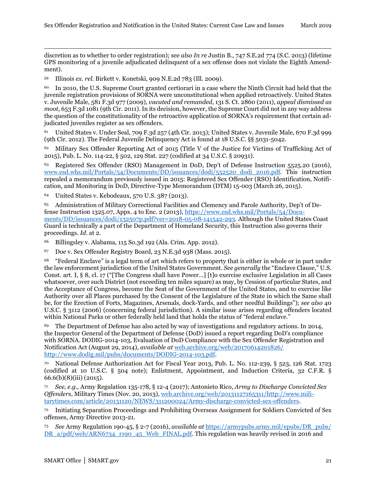<span id="page-23-0"></span>1 discretion as to whether to order registration); *see also In re* Justin B., 747 S.E.2d 774 (S.C. 2013) (lifetime GPS monitoring of a juvenile adjudicated delinquent of a sex offense does not violate the Eighth Amendment).

<span id="page-23-1"></span><sup>59</sup> Illinois *ex. rel.* Birkett v. Konetski, 909 N.E.2d 783 (Ill. 2009).

<span id="page-23-2"></span><sup>60</sup> In 2010, the U.S. Supreme Court granted certiorari in a case where the Ninth Circuit had held that the juvenile registration provisions of SORNA were unconstitutional when applied retroactively. United States v. Juvenile Male, 581 F.3d 977 (2009), *vacated and remanded*, 131 S. Ct. 2860 (2011), *appeal dismissed as moot*, 653 F.3d 1081 (9th Cir. 2011). In its decision, however, the Supreme Court did not in any way address the question of the constitutionality of the retroactive application of SORNA's requirement that certain adjudicated juveniles register as sex offenders.

<span id="page-23-3"></span><sup>61</sup> United States v. Under Seal, 709 F.3d 257 (4th Cir. 2013); United States v. Juvenile Male, 670 F.3d 999 (9th Cir. 2012). The Federal Juvenile Delinquency Act is found at 18 U.S.C. §§ 5031-5042*.*

<sup>62</sup> Military Sex Offender Reporting Act of 2015 (Title V of the Justice for Victims of Trafficking Act of 2015), Pub. L. No. 114-22, § 502, 129 Stat. 227 (codified at 34 U.S.C. § 20931).

<span id="page-23-5"></span><span id="page-23-4"></span><sup>63</sup> Registered Sex Offender (RSO) Management in DoD, Dep't of Defense Instruction 5525.20 (2016), [www.esd.whs.mil/Portals/54/Documents/DD/issuances/dodi/552520\\_dodi\\_2016.pdf.](http://www.esd.whs.mil/Portals/54/Documents/DD/issuances/dodi/552520_dodi_2016.pdf) This instruction repealed a memorandum previously issued in 2015: Registered Sex Offender (RSO) Identification, Notification, and Monitoring in DoD, Directive-Type Memorandum (DTM) 15-003 (March 26, 2015).

<sup>64</sup> United States v. Kebodeaux, 570 U.S. 387 (2013).

<span id="page-23-6"></span><sup>65</sup> Administration of Military Correctional Facilities and Clemency and Parole Authority, Dep't of Defense Instruction 1325.07, Appx. 4 to Enc. 2 (2013), https://www.esd.whs.mil/Portals/54/Documents/DD/issuances/dodi/132507p.pdf?ver=2018-05-08-141542-293. Although the United States Coast Guard is technically a part of the Department of Homeland Security, this Instruction also governs their proceedings. *Id*. at 2.

<sup>66</sup> Billingsley v. Alabama, 115 So.3d 192 (Ala. Crim. App. 2012).

<sup>67</sup> Doe v. Sex Offender Registry Board, 23 N.E.3d 938 (Mass. 2015).

<span id="page-23-8"></span><span id="page-23-7"></span><sup>68</sup> "Federal Enclave" is a legal term of art which refers to property that is either in whole or in part under the law enforcement jurisdiction of the United States Government. *See generally* the "Enclave Clause," U.S. Const. art. I, § 8, cl. 17 ("[The Congress shall have Power…] [t]o exercise exclusive Legislation in all Cases whatsoever, over such District (not exceeding ten miles square) as may, by Cession of particular States, and the Acceptance of Congress, become the Seat of the Government of the United States, and to exercise like Authority over all Places purchased by the Consent of the Legislature of the State in which the Same shall be, for the Erection of Forts, Magazines, Arsenals, dock-Yards, and other needful Buildings"); *see also* 40 U.S.C. § 3112 (2006) (concerning federal jurisdiction). A similar issue arises regarding offenders located within National Parks or other federally held land that holds the status of "federal enclave."

<span id="page-23-10"></span><span id="page-23-9"></span><sup>69</sup> The Department of Defense has also acted by way of investigations and regulatory actions. In 2014, the Inspector General of the Department of Defense (DoD) issued a report regarding DoD's compliance with SORNA. DODIG-2014-103, Evaluation of DoD Compliance with the Sex Offender Registration and Notification Act (August 29, 2014), *available at* [web.archive.org/web/20170614201826/](https://web.archive.org/web/20170614201826/%20http:/www.dodig.mil/pubs/documents/DODIG-2014-103.pdf)  [http://www.dodig.mil/pubs/documents/DODIG-2014-103.pdf.](https://web.archive.org/web/20170614201826/%20http:/www.dodig.mil/pubs/documents/DODIG-2014-103.pdf)

<span id="page-23-11"></span><sup>70</sup> National Defense Authorization Act for Fiscal Year 2013, Pub. L. No. 112-239, § 523, 126 Stat. 1723 (codified at 10 U.S.C. § 504 note); Enlistment, Appointment, and Induction Criteria, 32 C.F.R. § 66.6(b)(8)(iii) (2015).

<sup>71</sup> *See, e.g.,* Army Regulation 135-178, § 12-4 (2017); Antonieto Rico, *Army to Discharge Convicted Sex Offenders*, Military Times (Nov. 20, 2013), [web.archive.org/web/20131127165311/http://www.mili](https://web.archive.org/web/20131127165311/http:/www.%0bmilitarytimes.com/article/20131120/NEWS/311200024/Army-discharge-convicted-sex-offenders)[tarytimes.com/article/20131120/NEWS/311200024/Army-discharge-convicted-sex-offenders.](https://web.archive.org/web/20131127165311/http:/www.%0bmilitarytimes.com/article/20131120/NEWS/311200024/Army-discharge-convicted-sex-offenders) 

<span id="page-23-12"></span><sup>72</sup> Initiating Separation Proceedings and Prohibiting Overseas Assignment for Soldiers Convicted of Sex offenses, Army Directive 2013-21.

<sup>73</sup> *See* Army Regulation 190-45, § 2-7 (2016), *available at* [https://armypubs.army.mil/epubs/DR\\_pubs/](https://armypubs.army.mil/epubs/DR_pubs/%20DR_a/pdf/web/ARN6734_r190_45_Web_FINAL.pdf)  [DR\\_a/pdf/web/ARN6734\\_r190\\_45\\_Web\\_FINAL.pdf.](https://armypubs.army.mil/epubs/DR_pubs/%20DR_a/pdf/web/ARN6734_r190_45_Web_FINAL.pdf) This regulation was heavily revised in 2016 and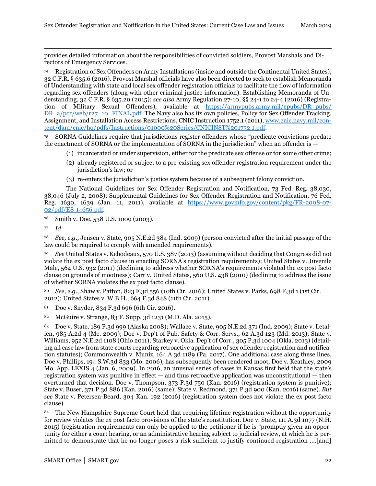1 provides detailed information about the responsibilities of convicted soldiers, Provost Marshals and Directors of Emergency Services.

<span id="page-24-1"></span><span id="page-24-0"></span><sup>74</sup> Registration of Sex Offenders on Army Installations (inside and outside the Continental United States), 32 C.F.R. § 635.6 (2016). Provost Marshal officials have also been directed to seek to establish Memoranda of Understanding with state and local sex offender registration officials to facilitate the flow of information regarding sex offenders (along with other criminal justice information). Establishing Memoranda of Understanding, 32 C.F.R. § 635.20 (2015); *see also* Army Regulation 27-10, §§ 24-1 to 24-4 (2016) (Registration of Military Sexual Offenders), available at [https://armypubs.army.mil/epubs/DR\\_pubs/](https://armypubs.army.mil/epubs/DR_pubs/%20DR_a/pdf/web/r27_10_FINAL.pdf)  [DR\\_a/pdf/web/r27\\_10\\_FINAL.pdf.](https://armypubs.army.mil/epubs/DR_pubs/%20DR_a/pdf/web/r27_10_FINAL.pdf) The Navy also has its own policies, Policy for Sex Offender Tracking, Assignment, and Installation Access Restrictions, CNIC Instruction 1752.1 (2011), [www.cnic.navy.mil/con](https://www.cnic.navy.mil/content/dam/cnic/hq/pdfs/Instructions/01000%20Series/CNICINST%201752.1.pdf)[tent/dam/cnic/hq/pdfs/Instructions/01000%20Series/CNICINST%201752.1.pdf.](https://www.cnic.navy.mil/content/dam/cnic/hq/pdfs/Instructions/01000%20Series/CNICINST%201752.1.pdf)

<span id="page-24-3"></span><span id="page-24-2"></span><sup>75</sup> SORNA Guidelines require that jurisdictions register offenders whose "predicate convictions predate the enactment of SORNA or the implementation of SORNA in the jurisdiction" when an offender is —

- (1) incarcerated or under supervision, either for the predicate sex offense or for some other crime;
- (2) already registered or subject to a pre-existing sex offender registration requirement under the jurisdiction's law; or
- (3) re-enters the jurisdiction's justice system because of a subsequent felony conviction.

<span id="page-24-5"></span><span id="page-24-4"></span>The National Guidelines for Sex Offender Registration and Notification, 73 Fed. Reg. 38,030, 38,046 (July 2, 2008); Supplemental Guidelines for Sex Offender Registration and Notification, 76 Fed. Reg. 1630, 1639 (Jan. 11, 2011), available at [https://www.govinfo.gov/content/pkg/FR-2008-07-](https://www.govinfo.gov/content/pkg/FR-2008-07-02/pdf/E8-14656.pdf) [02/pdf/E8-14656.pdf.](https://www.govinfo.gov/content/pkg/FR-2008-07-02/pdf/E8-14656.pdf)

<span id="page-24-6"></span><sup>76</sup> Smith v. Doe, 538 U.S. 1009 (2003).

<sup>77</sup> *Id.*

<span id="page-24-7"></span><sup>78</sup> *See, e.g.,* Jensen v. State, 905 N.E.2d 384 (Ind. 2009) (person convicted after the initial passage of the law could be required to comply with amended requirements).

<span id="page-24-9"></span><span id="page-24-8"></span><sup>79</sup> *See* United States v. Kebodeaux, 570 U.S. 387 (2013) (assuming without deciding that Congress did not violate the ex post facto clause in enacting SORNA's registration requirements); United States v. Juvenile Male, 564 U.S. 932 (2011) (declining to address whether SORNA's requirements violated the ex post facto clause on grounds of mootness); Carr v. United States, 560 U.S. 438 (2010) (declining to address the issue of whether SORNA violates the ex post facto clause).

<sup>80</sup> *See, e.g.*, Shaw v. Patton, 823 F.3d 556 (10th Cir. 2016); United States v. Parks, 698 F.3d 1 (1st Cir. 2012); United States v. W.B.H., 664 F.3d 848 (11th Cir. 2011).

<sup>81</sup> Doe v. Snyder, 834 F.3d 696 (6th Cir. 2016).

82 McGuire v. Strange, 83 F. Supp. 3d 1231 (M.D. Ala. 2015).

<span id="page-24-11"></span><span id="page-24-10"></span><sup>83</sup> Doe v. State, 189 P.3d 999 (Alaska 2008); Wallace v. State, 905 N.E.2d 371 (Ind. 2009); State v. Letalien, 985 A.2d 4 (Me. 2009); Doe v. Dep't of Pub. Safety & Corr. Servs., 62 A.3d 123 (Md. 2013); State v. Williams, 952 N.E.2d 1108 (Ohio 2011); Starkey v. Okla. Dep't of Corr., 305 P.3d 1004 (Okla. 2013) (detailing all case law from state courts regarding retroactive application of sex offender registration and notification statutes); Commonwealth v. Muniz, 164 A.3d 1189 (Pa. 2017). One additional case along these lines, Doe v. Phillips, 194 S.W.3d 833 (Mo. 2006), has subsequently been rendered moot, Doe v. Keathley, 2009 Mo. App. LEXIS 4 (Jan. 6, 2009). In 2016, an unusual series of cases in Kansas first held that the state's registration system was punitive in effect — and thus retroactive application was unconstitutional — then overturned that decision. Doe v. Thompson, 373 P.3d 750 (Kan. 2016) (registration system is punitive); State v. Buser, 371 P.3d 886 (Kan. 2016) (same); State v. Redmond, 371 P.3d 900 (Kan. 2016) (same). *But see* State v. Petersen-Beard, 304 Kan. 192 (2016) (registration system does not violate the ex post facto clause).

<span id="page-24-14"></span><span id="page-24-13"></span><span id="page-24-12"></span><sup>84</sup> The New Hampshire Supreme Court held that requiring lifetime registration without the opportunity for review violates the ex post facto provisions of the state's constitution. Doe v. State, 111 A.3d 1077 (N.H. 2015) (registration requirements can only be applied to the petitioner if he is "promptly given an opportunity for either a court hearing, or an administrative hearing subject to judicial review, at which he is permitted to demonstrate that he no longer poses a risk sufficient to justify continued registration ….[and]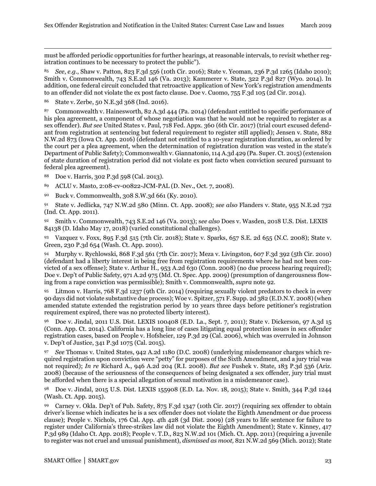1 must be afforded periodic opportunities for further hearings, at reasonable intervals, to revisit whether registration continues to be necessary to protect the public").

<span id="page-25-0"></span><sup>85</sup> *See*, *e.g.*, Shaw v. Patton, 823 F.3d 556 (10th Cir. 2016); State v. Yeoman, 236 P.3d 1265 (Idaho 2010); Smith v. Commonwealth, 743 S.E.2d 146 (Va. 2013); Kammerer v. State, 322 P.3d 827 (Wyo. 2014). In addition, one federal circuit concluded that retroactive application of New York's registration amendments to an offender did not violate the ex post facto clause. Doe v. Cuomo, 755 F.3d 105 (2d Cir. 2014).

<sup>86</sup> State v. Zerbe, 50 N.E.3d 368 (Ind. 2016).

<span id="page-25-1"></span><sup>87</sup> Commonwealth v. Hainesworth, 82 A.3d 444 (Pa. 2014) (defendant entitled to specific performance of his plea agreement, a component of whose negotiation was that he would not be required to register as a sex offender). *But see* United States v. Paul, 718 Fed. Appx. 360 (6th Cir. 2017) (trial court excused defendant from registration at sentencing but federal requirement to register still applied); Jensen v. State, 882 N.W.2d 873 (Iowa Ct. App. 2016) (defendant not entitled to a 10-year registration duration, as ordered by the court per a plea agreement, when the determination of registration duration was vested in the state's Department of Public Safety); Commonwealth v. Giannatonio, 114 A.3d 429 (Pa. Super. Ct. 2015) (extension of state duration of registration period did not violate ex post facto when conviction secured pursuant to federal plea agreement).

<sup>88</sup> Doe v. Harris, 302 P.3d 598 (Cal. 2013).

- <sup>89</sup> ACLU v. Masto, 2:08-cv-00822-JCM-PAL (D. Nev., Oct. 7, 2008).
- <sup>90</sup> Buck v. Commonwealth, 308 S.W.3d 661 (Ky. 2010).

<sup>91</sup> State v. Jedlicka, 747 N.W.2d 580 (Minn. Ct. App. 2008); *see also* Flanders v. State, 955 N.E.2d 732 (Ind. Ct. App. 2011).

<span id="page-25-3"></span><span id="page-25-2"></span><sup>92</sup> Smith v. Commonwealth, 743 S.E.2d 146 (Va. 2013); s*ee also* Does v. Wasden, 2018 U.S. Dist. LEXIS 84138 (D. Idaho May 17, 2018) (varied constitutional challenges).

<span id="page-25-4"></span><sup>93</sup> Vazquez v. Foxx, 895 F.3d 515 (7th Cir. 2018); State v. Sparks, 657 S.E. 2d 655 (N.C. 2008); State v. Green, 230 P.3d 654 (Wash. Ct. App. 2010).

<span id="page-25-5"></span><sup>94</sup> Murphy v. Rychlowski, 868 F.3d 561 (7th Cir. 2017); Meza v. Livingston, 607 F.3d 392 (5th Cir. 2010) (defendant had a liberty interest in being free from registration requirements where he had not been convicted of a sex offense); State v. Arthur H., 953 A.2d 630 (Conn. 2008) (no due process hearing required); Doe v. Dep't of Public Safety, 971 A.2d 975 (Md. Ct. Spec. App. 2009) (presumption of dangerousness flowing from a rape conviction was permissible); Smith v. Commonwealth, *supra* note 92.

<span id="page-25-6"></span><sup>95</sup> Litmon v. Harris, 768 F.3d 1237 (9th Cir. 2014) (requiring sexually violent predators to check in every 90 days did not violate substantive due process); Woe v. Spitzer, 571 F. Supp. 2d 382 (E.D.N.Y. 2008) (when amended statute extended the registration period by 10 years three days before petitioner's registration requirement expired, there was no protected liberty interest).

<span id="page-25-9"></span><span id="page-25-8"></span><span id="page-25-7"></span><sup>96</sup> Doe v. Jindal, 2011 U.S. Dist. LEXIS 100408 (E.D. La., Sept. 7, 2011); State v. Dickerson, 97 A.3d 15 (Conn. App. Ct. 2014). California has a long line of cases litigating equal protection issues in sex offender registration cases, based on People v. Hofsheier, 129 P.3d 29 (Cal. 2006), which was overruled in Johnson v. Dep't of Justice, 341 P.3d 1075 (Cal. 2015).

<sup>97</sup> *See* Thomas v. United States, 942 A.2d 1180 (D.C. 2008) (underlying misdemeanor charges which required registration upon conviction were "petty" for purposes of the Sixth Amendment, and a jury trial was not required); *In re* Richard A., 946 A.2d 204 (R.I. 2008). *But see* Fushek v. State, 183 P.3d 536 (Ariz. 2008) (because of the seriousness of the consequences of being designated a sex offender, jury trial must be afforded when there is a special allegation of sexual motivation in a misdemeanor case).

<sup>98</sup> Doe v. Jindal, 2015 U.S. Dist. LEXIS 155908 (E.D. La. Nov. 18, 2015); State v. Smith, 344 P.3d 1244 (Wash. Ct. App. 2015).

<span id="page-25-10"></span><sup>99</sup> Carney v. Okla. Dep't of Pub. Safety, 875 F.3d 1347 (10th Cir. 2017) (requiring sex offender to obtain driver's license which indicates he is a sex offender does not violate the Eighth Amendment or due process clause); People v. Nichols, 176 Cal. App. 4th 428 (3d Dist. 2009) (28 years to life sentence for failure to register under California's three-strikes law did not violate the Eighth Amendment); State v. Kinney, 417 P.3d 989 (Idaho Ct. App. 2018); People v. T.D., 823 N.W.2d 101 (Mich. Ct. App. 2011) (requiring a juvenile to register was not cruel and unusual punishment), *dismissed as moot,* 821 N.W.2d 569 (Mich. 2012); State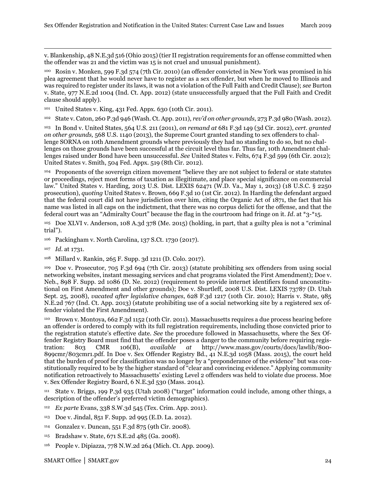v. Blankenship, 48 N.E.3d 516 (Ohio 2015) (tier II registration requirements for an offense committed when the offender was 21 and the victim was 15 is not cruel and unusual punishment).

<span id="page-26-0"></span><sup>100</sup> Rosin v. Monken, 599 F.3d 574 (7th Cir. 2010) (an offender convicted in New York was promised in his plea agreement that he would never have to register as a sex offender, but when he moved to Illinois and was required to register under its laws, it was not a violation of the Full Faith and Credit Clause); *see* Burton v. State, 977 N.E.2d 1004 (Ind. Ct. App. 2012) (state unsuccessfully argued that the Full Faith and Credit clause should apply).

<span id="page-26-2"></span><span id="page-26-1"></span><sup>101</sup> United States v. King, 431 Fed. Appx. 630 (10th Cir. 2011).

<sup>102</sup> State v. Caton, 260 P.3d 946 (Wash. Ct. App. 2011), *rev'd on other grounds*, 273 P.3d 980 (Wash. 2012).

<sup>103</sup> In Bond v. United States*,* 564 U.S. 211 (2011), *on remand at* 681 F.3d 149 (3d Cir. 2012), *cert. granted on other grounds,* 568 U.S. 1140 (2013), the Supreme Court granted standing to sex offenders to challenge SORNA on 10th Amendment grounds where previously they had no standing to do so, but no challenges on those grounds have been successful at the circuit level thus far. Thus far, 10th Amendment challenges raised under Bond have been unsuccessful. *See* United States v. Felts, 674 F.3d 599 (6th Cir. 2012); United States v. Smith, 504 Fed. Appx. 519 (8th Cir. 2012).

<span id="page-26-5"></span><span id="page-26-4"></span><span id="page-26-3"></span><sup>104</sup> Proponents of the sovereign citizen movement "believe they are not subject to federal or state statutes or proceedings, reject most forms of taxation as illegitimate, and place special significance on commercial law." United States v. Harding, 2013 U.S. Dist. LEXIS 62471 (W.D. Va., May 1, 2013) (18 U.S.C. § 2250 prosecution), *quoting* United States v. Brown, 669 F.3d 10 (1st Cir. 2012). In Harding the defendant argued that the federal court did not have jurisdiction over him, citing the Organic Act of 1871, the fact that his name was listed in all caps on the indictment, that there was no corpus delicti for the offense, and that the federal court was an "Admiralty Court" because the flag in the courtroom had fringe on it. *Id*. at \*3-\*15.

<span id="page-26-7"></span><span id="page-26-6"></span><sup>105</sup> Doe XLVI v. Anderson, 108 A.3d 378 (Me. 2015) (holding, in part, that a guilty plea is not a "criminal trial").

<span id="page-26-8"></span><sup>106</sup> Packingham v. North Carolina, 137 S.Ct. 1730 (2017).

1

<span id="page-26-9"></span><sup>108</sup> Millard v. Rankin, 265 F. Supp. 3d 1211 (D. Colo. 2017).

<span id="page-26-10"></span><sup>109</sup> Doe v. Prosecutor, 705 F.3d 694 (7th Cir. 2013) (statute prohibiting sex offenders from using social networking websites, instant messaging services and chat programs violated the First Amendment); Doe v. Neb., 898 F. Supp. 2d 1086 (D. Ne. 2012) (requirement to provide internet identifiers found unconstitutional on First Amendment and other grounds); Doe v. Shurtleff, 2008 U.S. Dist. LEXIS 73787 (D. Utah Sept. 25, 2008), *vacated after legislative changes*, 628 F.3d 1217 (10th Cir. 2010); Harris v. State, 985 N.E.2d 767 (Ind. Ct. App. 2013) (statute prohibiting use of a social networking site by a registered sex offender violated the First Amendment).

<span id="page-26-12"></span><span id="page-26-11"></span><sup>110</sup> Brown v. Montoya, 662 F.3d 1152 (10th Cir. 2011). Massachusetts requires a due process hearing before an offender is ordered to comply with its full registration requirements, including those convicted prior to the registration statute's effective date. *See* the procedure followed in Massachusetts, where the Sex Offender Registry Board must find that the offender poses a danger to the community before requiring registration: 803 CMR 106(B), *available* at http://www.mass.gov/courts/docs/lawlib/800http://www.mass.gov/courts/docs/lawlib/800-899cmr/803cmr1.pdf. In Doe v. Sex Offender Registry Bd., 41 N.E.3d 1058 (Mass. 2015), the court held that the burden of proof for classification was no longer by a "preponderance of the evidence" but was constitutionally required to be by the higher standard of "clear and convincing evidence." Applying community notification retroactively to Massachusetts' existing Level 2 offenders was held to violate due process. Moe v. Sex Offender Registry Board, 6 N.E.3d 530 (Mass. 2014).

<span id="page-26-13"></span><sup>111</sup> State v. Briggs, 199 P.3d 935 (Utah 2008) ("target" information could include, among other things, a description of the offender's preferred victim demographics).

- <span id="page-26-14"></span><sup>112</sup> *Ex parte* Evans, 338 S.W.3d 545 (Tex. Crim. App. 2011).
- <sup>113</sup> Doe v. Jindal, 851 F. Supp. 2d 995 (E.D. La. 2012).
- <sup>114</sup> Gonzalez v. Duncan, 551 F.3d 875 (9th Cir. 2008).
- <sup>115</sup> Bradshaw v. State, 671 S.E.2d 485 (Ga. 2008).
- <sup>116</sup> People v. Dipiazza, 778 N.W.2d 264 (Mich. Ct. App. 2009).

<sup>107</sup> *Id*. at 1731.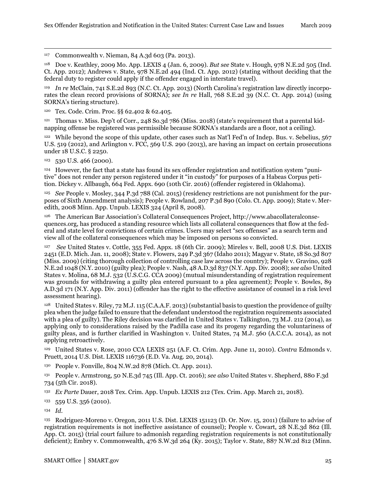117 Commonwealth v. Nieman, 84 A.3d 603 (Pa. 2013).

<span id="page-27-0"></span><sup>118</sup> Doe v. Keathley, 2009 Mo. App. LEXIS 4 (Jan. 6, 2009). *But see* State v. Hough, 978 N.E.2d 505 (Ind. Ct. App. 2012); Andrews v. State, 978 N.E.2d 494 (Ind. Ct. App. 2012) (stating without deciding that the federal duty to register could apply if the offender engaged in interstate travel).

<sup>119</sup> *In re* McClain, 741 S.E.2d 893 (N.C. Ct. App. 2013) (North Carolina's registration law directly incorporates the clean record provisions of SORNA); *see In re* Hall, 768 S.E.2d 39 (N.C. Ct. App. 2014) (using SORNA's tiering structure).

<span id="page-27-1"></span><sup>120</sup> Tex. Code. Crim. Proc. §§ 62.402 & 62.405.

<span id="page-27-3"></span><span id="page-27-2"></span>121 Thomas v. Miss. Dep't of Corr., 248 So.3d 786 (Miss. 2018) (state's requirement that a parental kidnapping offense be registered was permissible because SORNA's standards are a floor, not a ceiling).

<sup>122</sup> While beyond the scope of this update, other cases such as Nat'l Fed'n of Indep. Bus. v. Sebelius, 567 U.S. 519 (2012), and Arlington v. FCC, 569 U.S. 290 (2013), are having an impact on certain prosecutions under 18 U.S.C. § 2250.

 $123$  530 U.S. 466 (2000).

<span id="page-27-4"></span><sup>124</sup> However, the fact that a state has found its sex offender registration and notification system "punitive" does not render any person registered under it "in custody" for purposes of a Habeas Corpus petition. Dickey v. Allbaugh, 664 Fed. Appx. 690 (10th Cir. 2016) (offender registered in Oklahoma).

<sup>125</sup> *See* People v. Mosley, 344 P.3d 788 (Cal. 2015) (residency restrictions are not punishment for the purposes of Sixth Amendment analysis); People v. Rowland, 207 P.3d 890 (Colo. Ct. App. 2009); State v. Meredith, 2008 Minn. App. Unpub. LEXIS 324 (April 8, 2008).

<span id="page-27-5"></span><sup>126</sup> The American Bar Association's Collateral Consequences Project, http://www.abacollateralconsequences.org, has produced a standing resource which lists all collateral consequences that flow at the federal and state level for convictions of certain crimes. Users may select "sex offenses" as a search term and view all of the collateral consequences which may be imposed on persons so convicted.

<span id="page-27-9"></span><span id="page-27-8"></span><span id="page-27-7"></span><span id="page-27-6"></span><sup>127</sup> *See* United States v. Cottle, 355 Fed. Appx. 18 (6th Cir. 2009); Mireles v. Bell, 2008 U.S. Dist. LEXIS 2451 (E.D. Mich. Jan. 11, 2008); State v. Flowers, 249 P.3d 367 (Idaho 2011); Magyar v. State, 18 So.3d 807 (Miss. 2009) (citing thorough collection of controlling case law across the country); People v. Gravino, 928 N.E.2d 1048 (N.Y. 2010) (guilty plea); People v. Nash, 48 A.D.3d 837 (N.Y. App. Div. 2008); *see also* United States v. Molina, 68 M.J. 532 (U.S.C.G. CCA 2009) (mutual misunderstanding of registration requirement was grounds for withdrawing a guilty plea entered pursuant to a plea agreement); People v. Bowles, 89 A.D.3d 171 (N.Y. App. Div. 2011) (offender has the right to the effective assistance of counsel in a risk level assessment hearing).

<span id="page-27-10"></span><sup>128</sup> United States v. Riley, 72 M.J. 115 (C.A.A.F. 2013) (substantial basis to question the providence of guilty plea when the judge failed to ensure that the defendant understood the registration requirements associated with a plea of guilty). The Riley decision was clarified in United States v. Talkington, 73 M.J. 212 (2014), as applying only to considerations raised by the Padilla case and its progeny regarding the voluntariness of guilty pleas, and is further clarified in Washington v. United States, 74 M.J. 560 (A.C.C.A. 2014), as not applying retroactively.

<sup>129</sup> United States v. Rose, 2010 CCA LEXIS 251 (A.F. Ct. Crim. App. June 11, 2010). *Contra* Edmonds v. Pruett, 2014 U.S. Dist. LEXIS 116736 (E.D. Va. Aug. 20, 2014).

<sup>130</sup> People v. Fonville, 804 N.W.2d 878 (Mich. Ct. App. 2011).

<sup>131</sup> People v. Armstrong, 50 N.E.3d 745 (Ill. App. Ct. 2016); *see also* United States v. Shepherd, 880 F.3d 734 (5th Cir. 2018).

<span id="page-27-11"></span>132 *Ex Parte* Dauer, 2018 Tex. Crim. App. Unpub. LEXIS 212 (Tex. Crim. App. March 21, 2018).

<sup>133</sup> 559 U.S. 356 (2010).

<span id="page-27-12"></span><sup>134</sup> *Id.*

<span id="page-27-16"></span><span id="page-27-15"></span><span id="page-27-14"></span><span id="page-27-13"></span><sup>135</sup> Rodriguez-Moreno v. Oregon, 2011 U.S. Dist. LEXIS 151123 (D. Or. Nov. 15, 2011) (failure to advise of registration requirements is not ineffective assistance of counsel); People v. Cowart, 28 N.E.3d 862 (Ill. App. Ct. 2015) (trial court failure to admonish regarding registration requirements is not constitutionally deficient); Embry v. Commonwealth, 476 S.W.3d 264 (Ky. 2015); Taylor v. State, 887 N.W.2d 812 (Minn.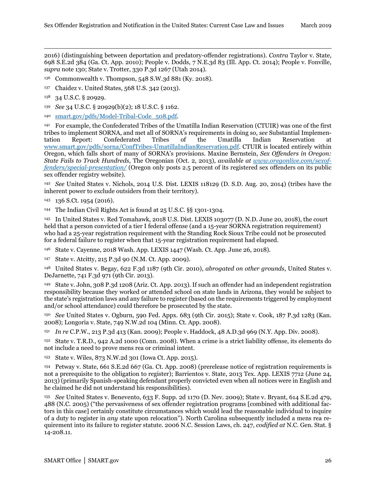<span id="page-28-0"></span>1 2016) (distinguishing between deportation and predatory-offender registrations). *Contra* Taylor v. State, 698 S.E.2d 384 (Ga. Ct. App. 2010); People v. Dodds, 7 N.E.3d 83 (Ill. App. Ct. 2014); People v. Fonville, *supra* note 130; State v. Trotter, 330 P.3d 1267 (Utah 2014).

<span id="page-28-1"></span><sup>136</sup> Commonwealth v. Thompson, 548 S.W.3d 881 (Ky. 2018).

<span id="page-28-2"></span><sup>137</sup> Chaidez v. United States, 568 U.S. 342 (2013).

- <span id="page-28-3"></span><sup>139</sup> *See* 34 U.S.C. § 20929(b)(2); 18 U.S.C. § 1162.
- <sup>140</sup> smart.gov/pdfs/Model-Tribal-Code\_508.pdf.

<span id="page-28-5"></span><span id="page-28-4"></span><sup>141</sup> For example, the Confederated Tribes of the Umatilla Indian Reservation (CTUIR) was one of the first tribes to implement SORNA, and met all of SORNA's requirements in doing so, *see* Substantial Implementation Report: Confederated Tribes of the Umatilla Indian Reservation at [www.smart.gov/pdfs/sorna/ConfTribes-UmatillaIndianReservation.pdf](https://www.smart.gov/pdfs/sorna/ConfTribes-UmatillaIndianReservation.pdf)*.* CTUIR is located entirely within Oregon, which falls short of many of SORNA's provisions. Maxine Bernstein, *Sex Offenders in Oregon: State Fails to Track Hundreds*, The Oregonian (Oct. 2, 2013), *available at [www.oregonlive.com/sexof](http://www.oregonlive.com/sexoffenders/special-presentation/)[fenders/special-presentation/](http://www.oregonlive.com/sexoffenders/special-presentation/)* (Oregon only posts 2.5 percent of its registered sex offenders on its public sex offender registry website).

<span id="page-28-7"></span><span id="page-28-6"></span><sup>142</sup> *See* United States v. Nichols, 2014 U.S. Dist. LEXIS 118129 (D. S.D. Aug. 20, 2014) (tribes have the inherent power to exclude outsiders from their territory).

<sup>144</sup> The Indian Civil Rights Act is found at 25 U.S.C. §§ 1301-1304.

<span id="page-28-9"></span>145 In United States v. Red Tomahawk, 2018 U.S. Dist. LEXIS 103077 (D. N.D. June 20, 2018), the court held that a person convicted of a tier I federal offense (and a 15-year SORNA registration requirement) who had a 25-year registration requirement with the Standing Rock Sioux Tribe could not be prosecuted for a federal failure to register when that 15-year registration requirement had elapsed.

<span id="page-28-10"></span>146 State v. Cayenne, 2018 Wash. App. LEXIS 1447 (Wash. Ct. App. June 26, 2018).

<sup>147</sup> State v. Atcitty, 215 P.3d 90 (N.M. Ct. App. 2009).

<sup>148</sup> United States v. Begay, 622 F.3d 1187 (9th Cir. 2010), *abrogated on other grounds*, United States v. DeJarnette, 741 F.3d 971 (9th Cir. 2013).

<sup>149</sup> State v. John, 308 P.3d 1208 (Ariz. Ct. App. 2013). If such an offender had an independent registration responsibility because they worked or attended school on state lands in Arizona, they would be subject to the state's registration laws and any failure to register (based on the requirements triggered by employment and/or school attendance) could therefore be prosecuted by the state.

<span id="page-28-11"></span><sup>150</sup> *See* United States v. Ogburn, 590 Fed. Appx. 683 (9th Cir. 2015); State v. Cook, 187 P.3d 1283 (Kan. 2008); Longoria v. State, 749 N.W.2d 104 (Minn. Ct. App. 2008).

<sup>151</sup> *In re* C.P.W., 213 P.3d 413 (Kan. 2009); People v. Haddock, 48 A.D.3d 969 (N.Y. App. Div. 2008).

<span id="page-28-12"></span><sup>152</sup> State v. T.R.D., 942 A.2d 1000 (Conn. 2008). When a crime is a strict liability offense, its elements do not include a need to prove mens rea or criminal intent.

<sup>153</sup> State v. Wiles, 873 N.W.2d 301 (Iowa Ct. App. 2015).

<span id="page-28-14"></span><span id="page-28-13"></span><sup>154</sup> Petway v. State, 661 S.E.2d 667 (Ga. Ct. App. 2008) (prerelease notice of registration requirements is not a prerequisite to the obligation to register); Barrientos v. State, 2013 Tex. App. LEXIS 7712 (June 24, 2013) (primarily Spanish-speaking defendant properly convicted even when all notices were in English and he claimed he did not understand his responsibilities).

<span id="page-28-18"></span><span id="page-28-17"></span><span id="page-28-16"></span><span id="page-28-15"></span><sup>155</sup> *See* United States v. Benevento, 633 F. Supp. 2d 1170 (D. Nev. 2009); State v. Bryant, 614 S.E.2d 479, 488 (N.C. 2005) ("the pervasiveness of sex offender registration programs [combined with additional factors in this case] certainly constitute circumstances which would lead the reasonable individual to inquire of a duty to register in *any* state upon relocation"). North Carolina subsequently included a mens rea requirement into its failure to register statute. 2006 N.C. Session Laws, ch. 247, *codified at* N.C. Gen. Stat. § 14-208.11.

<sup>138</sup> 34 U.S.C. § 20929.

<span id="page-28-8"></span><sup>143</sup> 136 S.Ct. 1954 (2016).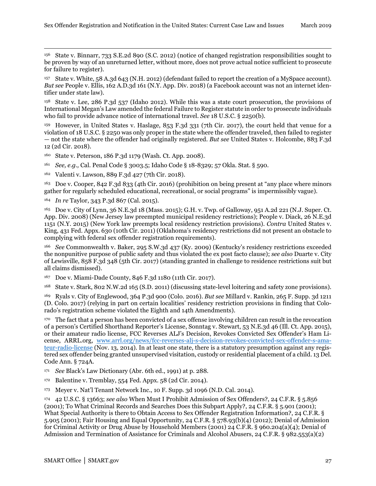156 State v. Binnarr, 733 S.E.2d 890 (S.C. 2012) (notice of changed registration responsibilities sought to be proven by way of an unreturned letter, without more, does not prove actual notice sufficient to prosecute for failure to register).

<span id="page-29-1"></span><span id="page-29-0"></span>State v. White, 58 A.3d 643 (N.H. 2012) (defendant failed to report the creation of a MySpace account). *But see* People v. Ellis, 162 A.D.3d 161 (N.Y. App. Div. 2018) (a Facebook account was not an internet identifier under state law).

<span id="page-29-3"></span><span id="page-29-2"></span><sup>158</sup> State v. Lee, 286 P.3d 537 (Idaho 2012). While this was a state court prosecution, the provisions of International Megan's Law amended the federal Failure to Register statute in order to prosecute individuals who fail to provide advance notice of international travel. *See* 18 U.S.C. § 2250(b).

<span id="page-29-5"></span><span id="page-29-4"></span><sup>159</sup> However, in United States v. Haslage, 853 F.3d 331 (7th Cir. 2017), the court held that venue for a violation of 18 U.S.C. § 2250 was only proper in the state where the offender traveled, then failed to register — not the state where the offender had originally registered. *But see* United States v. Holcombe, 883 F.3d 12 (2d Cir. 2018).

<sup>160</sup> State v. Peterson, 186 P.3d 1179 (Wash. Ct. App. 2008).

<sup>161</sup> *See, e.g.,* Cal. Penal Code § 3003.5; Idaho Code § 18-8329; 57 Okla. Stat. § 590.

162 Valenti v. Lawson, 889 F.3d 427 (7th Cir. 2018).

<span id="page-29-6"></span><sup>163</sup> Doe v. Cooper, 842 F.3d 833 (4th Cir. 2016) (prohibition on being present at "any place where minors gather for regularly scheduled educational, recreational, or social programs" is impermissibly vague).

<span id="page-29-7"></span><sup>164</sup> *In re* Taylor, 343 P.3d 867 (Cal. 2015).

<span id="page-29-9"></span><span id="page-29-8"></span><sup>165</sup> Doe v. City of Lynn, 36 N.E.3d 18 (Mass. 2015); G.H. v. Twp. of Galloway, 951 A.2d 221 (N.J. Super. Ct. App. Div. 2008) (New Jersey law preempted municipal residency restrictions); People v. Diack, 26 N.E.3d 1151 (N.Y. 2015) (New York law preempts local residency restriction provisions). *Contra* United States v. King, 431 Fed. Appx. 630 (10th Cir. 2011) (Oklahoma's residency restrictions did not present an obstacle to complying with federal sex offender registration requirements).

<span id="page-29-11"></span><span id="page-29-10"></span><sup>166</sup> *See* Commonwealth v. Baker, 295 S.W.3d 437 (Ky. 2009) (Kentucky's residency restrictions exceeded the nonpunitive purpose of public safety and thus violated the ex post facto clause); *see also* Duarte v. City of Lewisville, 858 F.3d 348 (5th Cir. 2017) (standing granted in challenge to residence restrictions suit but all claims dismissed).

<span id="page-29-12"></span><sup>167</sup> Doe v. Miami-Dade County, 846 F.3d 1180 (11th Cir. 2017).

<span id="page-29-13"></span><sup>168</sup> State v. Stark, 802 N.W.2d 165 (S.D. 2011) (discussing state-level loitering and safety zone provisions).

<sup>169</sup> Ryals v. City of Englewood, 364 P.3d 900 (Colo. 2016). *But see* Millard v. Rankin, 265 F. Supp. 3d 1211 (D. Colo. 2017) (relying in part on certain localities' residency restriction provisions in finding that Colorado's registration scheme violated the Eighth and 14th Amendments).

<span id="page-29-16"></span><span id="page-29-15"></span><span id="page-29-14"></span><sup>170</sup> The fact that a person has been convicted of a sex offense involving children can result in the revocation of a person's Certified Shorthand Reporter's License, Sonntag v. Stewart, 53 N.E.3d 46 (Ill. Ct. App. 2015), or their amateur radio license, FCC Reverses ALJ's Decision, Revokes Convicted Sex Offender's Ham License, ARRL.org, [www.arrl.org/news/fcc-reverses-alj-s-decision-revokes-convicted-sex-offender-s-ama](http://www.arrl.org/news/fcc-reverses-alj-s-decision-revokes-convicted-sex-offender-s-amateur-radio-license)[teur-radio-license](http://www.arrl.org/news/fcc-reverses-alj-s-decision-revokes-convicted-sex-offender-s-amateur-radio-license) (Nov. 13, 2014). In at least one state, there is a statutory presumption against any registered sex offender being granted unsupervised visitation, custody or residential placement of a child. 13 Del. Code Ann. § 724A.

<span id="page-29-18"></span><span id="page-29-17"></span><sup>171</sup> *See* Black's Law Dictionary (Abr. 6th ed., 1991) at p. 288.

<sup>172</sup> Balentine v. Tremblay, 554 Fed. Appx. 58 (2d Cir. 2014).

<sup>173</sup> Meyer v. Nat'l Tenant Network Inc., 10 F. Supp. 3d 1096 (N.D. Cal. 2014).

<span id="page-29-19"></span><sup>174</sup> 42 U.S.C. § 13663; *see also* When Must I Prohibit Admission of Sex Offenders?, 24 C.F.R. § 5.856 (2001); To What Criminal Records and Searches Does this Subpart Apply?, 24 C.F.R. § 5.901 (2001); What Special Authority is there to Obtain Access to Sex Offender Registration Information?, 24 C.F.R. § 5.905 (2001); Fair Housing and Equal Opportunity, 24 C.F.R. § 578.93(b)(4) (2012); Denial of Admission for Criminal Activity or Drug Abuse by Household Members (2001) 24 C.F.R. § 960.204(a)(4); Denial of Admission and Termination of Assistance for Criminals and Alcohol Abusers, 24 C.F.R. § 982.553(a)(2)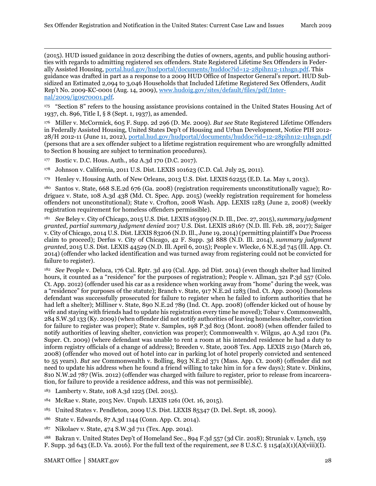<span id="page-30-0"></span>1 (2015). HUD issued guidance in 2012 describing the duties of owners, agents, and public housing authorities with regards to admitting registered sex offenders. State Registered Lifetime Sex Offenders in Federally Assisted Housing, [portal.hud.gov/hudportal/documents/huddoc?id=12-28pihn12-11hsgn.pdf.](http://portal.hud.gov/hudportal/documents/huddoc?id=12-28pihn12-11hsgn.pdf) This guidance was drafted in part as a response to a 2009 HUD Office of Inspector General's report. HUD Subsidized an Estimated 2,094 to 3,046 Households that Included Lifetime Registered Sex Offenders, Audit Rep't No. 2009-KC-0001 (Aug. 14, 2009), [www.hudoig.gov/sites/default/files/pdf/Inter](https://www.hudoig.gov/sites/default/files/pdf/Internal/2009/ig0970001.pdf)[nal/2009/ig0970001.pdf.](https://www.hudoig.gov/sites/default/files/pdf/Internal/2009/ig0970001.pdf)

<span id="page-30-2"></span><span id="page-30-1"></span><sup>175</sup> "Section 8" refers to the housing assistance provisions contained in the United States Housing Act of 1937, ch. 896, Title I, § 8 (Sept. 1, 1937), as amended.

<span id="page-30-3"></span><sup>176</sup> Miller v. McCormick, 605 F. Supp. 2d 296 (D. Me. 2009). *But see* State Registered Lifetime Offenders in Federally Assisted Housing, United States Dep't of Housing and Urban Development, Notice PIH 2012- 28/H 2012-11 (June 11, 2012), [portal.hud.gov/hudportal/documents/huddoc?id=12-28pihn12-11hsgn.pdf](https://portal.hud.gov/hudportal/documents/huddoc?id=12-28pihn12-11hsgn.pdf%20) (persons that are a sex offender subject to a lifetime registration requirement who are wrongfully admitted to Section 8 housing are subject to termination procedures).

<span id="page-30-4"></span><sup>177</sup> Bostic v. D.C. Hous. Auth., 162 A.3d 170 (D.C. 2017).

<span id="page-30-6"></span><span id="page-30-5"></span><sup>178</sup> Johnson v. California, 2011 U.S. Dist. LEXIS 101623 (C.D. Cal. July 25, 2011).

<sup>179</sup> Henley v. Housing Auth. of New Orleans, 2013 U.S. Dist. LEXIS 62255 (E.D. La. May 1, 2013).

<span id="page-30-8"></span><span id="page-30-7"></span><sup>180</sup> Santos v. State, 668 S.E.2d 676 (Ga. 2008) (registration requirements unconstitutionally vague); Rodriguez v. State, 108 A.3d 438 (Md. Ct. Spec. App. 2015) (weekly registration requirement for homeless offenders not unconstitutional); State v. Crofton, 2008 Wash. App. LEXIS 1283 (June 2, 2008) (weekly registration requirement for homeless offenders permissible).

<span id="page-30-9"></span><sup>181</sup> *See* Beley v. City of Chicago, 2015 U.S. Dist. LEXIS 163919 (N.D. Ill., Dec. 27, 2015), *summary judgment granted, partial summary judgment denied* 2017 U.S. Dist. LEXIS 28167 (N.D. Ill. Feb. 28, 2017); Saiger v. City of Chicago, 2014 U.S. Dist. LEXIS 83206 (N.D. Ill., June 19, 2014) (permitting plaintiff's Due Process claim to proceed); Derfus v. City of Chicago, 42 F. Supp. 3d 888 (N.D. Ill. 2014), *summary judgment granted*, 2015 U.S. Dist. LEXIS 44529 (N.D. Ill. April 6, 2015); People v. Wlecke, 6 N.E.3d 745 (Ill. App. Ct. 2014) (offender who lacked identification and was turned away from registering could not be convicted for failure to register).

<span id="page-30-14"></span><span id="page-30-13"></span><span id="page-30-12"></span><span id="page-30-11"></span><span id="page-30-10"></span><sup>182</sup> *See* People v. Deluca, 176 Cal. Rptr. 3d 419 (Cal. App. 2d Dist. 2014) (even though shelter had limited hours, it counted as a "residence" for the purposes of registration); People v. Allman, 321 P.3d 557 (Colo. Ct. App. 2012) (offender used his car as a residence when working away from "home" during the week, was a "residence" for purposes of the statute); Branch v. State, 917 N.E.2d 1283 (Ind. Ct. App. 2009) (homeless defendant was successfully prosecuted for failure to register when he failed to inform authorities that he had left a shelter); Milliner v. State, 890 N.E.2d 789 (Ind. Ct. App. 2008) (offender kicked out of house by wife and staying with friends had to update his registration every time he moved); Tobar v. Commonwealth, 284 S.W.3d 133 (Ky. 2009) (when offender did not notify authorities of leaving homeless shelter, conviction for failure to register was proper); State v. Samples, 198 P.3d 803 (Mont. 2008) (when offender failed to notify authorities of leaving shelter, conviction was proper); Commonwealth v. Wilgus, 40 A.3d 1201 (Pa. Super. Ct. 2009) (where defendant was unable to rent a room at his intended residence he had a duty to inform registry officials of a change of address); Breeden v. State, 2008 Tex. App. LEXIS 2150 (March 26, 2008) (offender who moved out of hotel into car in parking lot of hotel properly convicted and sentenced to 55 years). *But see* Commonwealth v. Bolling, 893 N.E.2d 371 (Mass. App. Ct. 2008) (offender did not need to update his address when he found a friend willing to take him in for a few days); State v. Dinkins, 810 N.W.2d 787 (Wis. 2012) (offender was charged with failure to register, prior to release from incarceration, for failure to provide a residence address, and this was not permissible).

- <span id="page-30-17"></span><span id="page-30-16"></span><span id="page-30-15"></span><sup>183</sup> Lamberty v. State, 108 A.3d 1225 (Del. 2015).
- <span id="page-30-18"></span><sup>184</sup> McRae v. State, 2015 Nev. Unpub. LEXIS 1261 (Oct. 16, 2015).
- <sup>185</sup> United States v. Pendleton, 2009 U.S. Dist. LEXIS 85347 (D. Del. Sept. 18, 2009).
- <sup>186</sup> State v. Edwards, 87 A.3d 1144 (Conn. App. Ct. 2014).
- <sup>187</sup> Nikolaev v. State, 474 S.W.3d 711 (Tex. App. 2014).

<sup>188</sup> Bakran v. United States Dep't of Homeland Sec., 894 F.3d 557 (3d Cir. 2018); Struniak v. Lynch, 159 F. Supp. 3d 643 (E.D. Va. 2016). For the full text of the requirement, *see* 8 U.S.C. § 1154(a)(1)(A)(viii)(I).